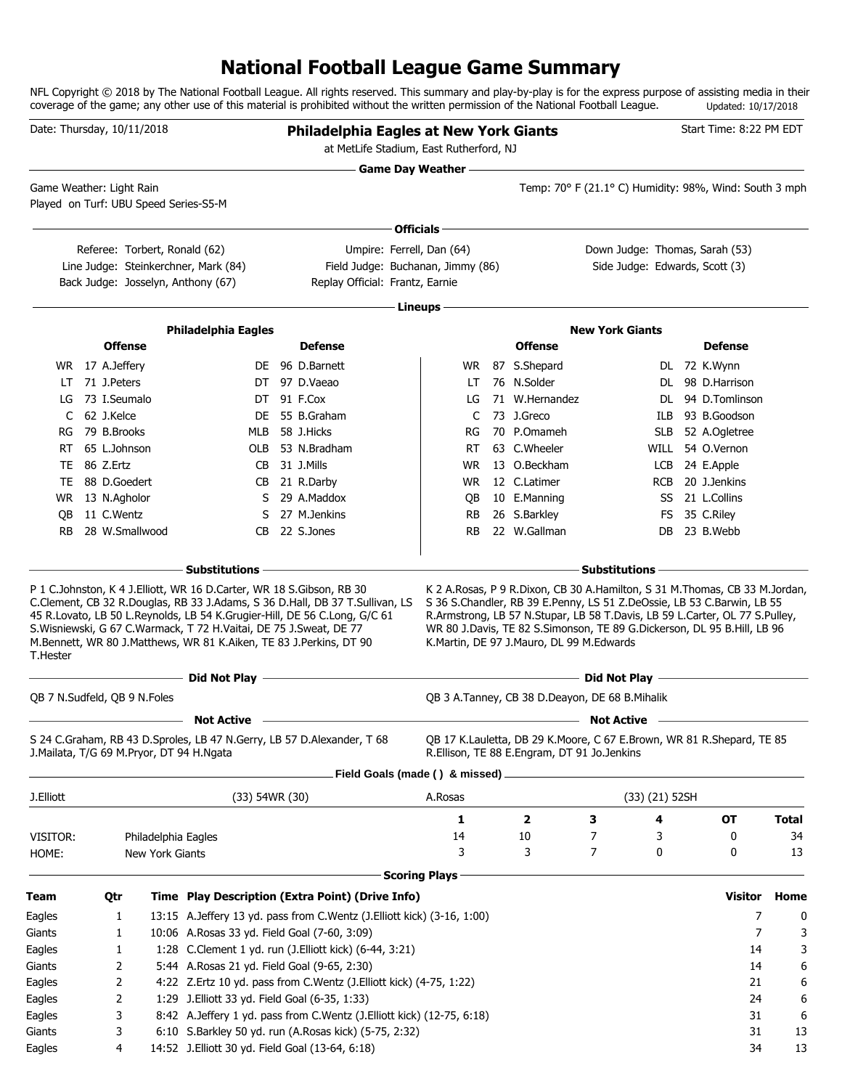## **National Football League Game Summary**

NFL Copyright © 2018 by The National Football League. All rights reserved. This summary and play-by-play is for the express purpose of assisting media in their coverage of the game; any other use of this material is prohibited without the written permission of the National Football League. Updated: 10/17/2018

| Date: Thursday, 10/11/2018 |                            |                                          |                                                                                                                                             | <b>Philadelphia Eagles at New York Giants</b><br>at MetLife Stadium, East Rutherford, NJ                              |                      |                                             | <u> 1989 - Johann Barn, amerikansk politiker (d. 1989)</u>              | Start Time: 8:22 PM EDT                      |              |
|----------------------------|----------------------------|------------------------------------------|---------------------------------------------------------------------------------------------------------------------------------------------|-----------------------------------------------------------------------------------------------------------------------|----------------------|---------------------------------------------|-------------------------------------------------------------------------|----------------------------------------------|--------------|
| Game Weather: Light Rain   |                            | Played on Turf: UBU Speed Series-S5-M    |                                                                                                                                             |                                                                                                                       | Game Day Weather —   |                                             | Temp: 70° F (21.1° C) Humidity: 98%, Wind: South 3 mph                  |                                              |              |
|                            |                            |                                          |                                                                                                                                             |                                                                                                                       | Officials -          |                                             |                                                                         |                                              |              |
|                            |                            | Referee: Torbert, Ronald (62)            |                                                                                                                                             | Umpire: Ferrell, Dan (64)                                                                                             |                      |                                             | Down Judge: Thomas, Sarah (53)                                          |                                              |              |
|                            |                            |                                          | Line Judge: Steinkerchner, Mark (84)<br>Back Judge: Josselyn, Anthony (67)                                                                  | Field Judge: Buchanan, Jimmy (86)<br>Replay Official: Frantz, Earnie                                                  |                      |                                             | Side Judge: Edwards, Scott (3)                                          |                                              |              |
|                            |                            |                                          |                                                                                                                                             |                                                                                                                       |                      |                                             |                                                                         |                                              |              |
|                            |                            |                                          |                                                                                                                                             |                                                                                                                       | Lineups              |                                             |                                                                         |                                              |              |
|                            |                            |                                          | <b>Philadelphia Eagles</b>                                                                                                                  |                                                                                                                       |                      |                                             | <b>New York Giants</b>                                                  |                                              |              |
|                            |                            | <b>Offense</b>                           |                                                                                                                                             | <b>Defense</b>                                                                                                        |                      | <b>Offense</b>                              |                                                                         | <b>Defense</b>                               |              |
|                            | WR 17 A.Jeffery            |                                          |                                                                                                                                             | DE 96 D.Barnett                                                                                                       |                      | WR 87 S.Shepard                             |                                                                         | DL 72 K.Wynn                                 |              |
| LT                         | 71 J.Peters                |                                          |                                                                                                                                             | DT 97 D.Vaeao                                                                                                         | LT.                  | 76 N.Solder<br>71 W.Hernandez               |                                                                         | DL 98 D.Harrison                             |              |
| LG                         | 73 I.Seumalo<br>62 J.Kelce |                                          |                                                                                                                                             | DT 91 F.Cox                                                                                                           | LG                   | 73 J.Greco                                  |                                                                         | DL 94 D.Tomlinson                            |              |
| C                          | 79 B.Brooks                |                                          | DE                                                                                                                                          | 55 B.Graham<br>58 J.Hicks                                                                                             | C                    | 70 P.Omameh                                 | ILB                                                                     | 93 B.Goodson                                 |              |
| RG                         | 65 L.Johnson               |                                          | MLB                                                                                                                                         | OLB 53 N.Bradham                                                                                                      | RG                   | 63 C.Wheeler                                | SLB.                                                                    | 52 A.Ogletree<br>WILL 54 O.Vernon            |              |
| RT.                        | TE 86 Z.Ertz               |                                          |                                                                                                                                             | 31 J.Mills                                                                                                            | RT.<br><b>WR</b>     | 13 O.Beckham                                |                                                                         |                                              |              |
| TE                         | 88 D.Goedert               |                                          | CB                                                                                                                                          | CB 21 R.Darby                                                                                                         | WR.                  | 12 C.Latimer                                | RCB                                                                     | LCB 24 E.Apple<br>20 J.Jenkins               |              |
|                            | WR 13 N.Agholor            |                                          | S.                                                                                                                                          | 29 A.Maddox                                                                                                           |                      | 10 E.Manning                                |                                                                         | SS 21 L.Collins                              |              |
| OВ                         | 11 C.Wentz                 |                                          | S                                                                                                                                           | 27 M.Jenkins                                                                                                          | QB<br>RB             | 26 S.Barkley                                | FS                                                                      | 35 C.Riley                                   |              |
| <b>RB</b>                  |                            | 28 W.Smallwood                           | CB                                                                                                                                          | 22 S.Jones                                                                                                            | RB.                  | 22 W.Gallman                                | DB.                                                                     | 23 B.Webb                                    |              |
| T.Hester                   |                            |                                          | S. Wisniewski, G 67 C. Warmack, T 72 H. Vaitai, DE 75 J. Sweat, DE 77<br>M.Bennett, WR 80 J.Matthews, WR 81 K.Aiken, TE 83 J.Perkins, DT 90 |                                                                                                                       |                      | K.Martin, DE 97 J.Mauro, DL 99 M.Edwards    | WR 80 J.Davis, TE 82 S.Simonson, TE 89 G.Dickerson, DL 95 B.Hill, LB 96 |                                              |              |
|                            |                            |                                          | Did Not Play -                                                                                                                              | <b>Did Not Play - And All And All And All And All And All And All And All And All And All And All And All And All</b> |                      |                                             |                                                                         | the control of the control of the control of |              |
|                            |                            | QB 7 N.Sudfeld, QB 9 N.Foles             |                                                                                                                                             |                                                                                                                       |                      |                                             | QB 3 A.Tanney, CB 38 D.Deayon, DE 68 B.Mihalik                          |                                              |              |
|                            |                            |                                          | <b>Not Active</b>                                                                                                                           |                                                                                                                       |                      |                                             | <b>Not Active</b>                                                       |                                              |              |
|                            |                            | J.Mailata, T/G 69 M.Pryor, DT 94 H.Ngata |                                                                                                                                             | S 24 C.Graham, RB 43 D.Sproles, LB 47 N.Gerry, LB 57 D.Alexander, T 68                                                |                      | R.Ellison, TE 88 E.Engram, DT 91 Jo.Jenkins | QB 17 K.Lauletta, DB 29 K.Moore, C 67 E.Brown, WR 81 R.Shepard, TE 85   |                                              |              |
|                            |                            |                                          |                                                                                                                                             | Field Goals (made () & missed).                                                                                       |                      |                                             |                                                                         |                                              |              |
| J.Elliott                  |                            |                                          | (33) 54WR (30)                                                                                                                              |                                                                                                                       | A.Rosas              |                                             | (33) (21) 52SH                                                          |                                              |              |
|                            |                            |                                          |                                                                                                                                             |                                                                                                                       | 1                    | 2                                           | З<br>4                                                                  | OT                                           | <b>Total</b> |
| VISITOR:                   |                            | Philadelphia Eagles                      |                                                                                                                                             |                                                                                                                       | 14                   | 10                                          | 7<br>3                                                                  | 0                                            | 34           |
| HOME:                      |                            | New York Giants                          |                                                                                                                                             |                                                                                                                       | 3                    | 3                                           | 7<br>0                                                                  | 0                                            | 13           |
|                            |                            |                                          |                                                                                                                                             |                                                                                                                       |                      |                                             |                                                                         |                                              |              |
|                            |                            |                                          |                                                                                                                                             |                                                                                                                       | <b>Scoring Plays</b> |                                             |                                                                         |                                              |              |
| Team                       | Qtr                        |                                          |                                                                                                                                             | Time Play Description (Extra Point) (Drive Info)                                                                      |                      |                                             |                                                                         | <b>Visitor</b>                               | Home         |
| Eagles                     | 1                          |                                          |                                                                                                                                             | 13:15 A.Jeffery 13 yd. pass from C.Wentz (J.Elliott kick) (3-16, 1:00)                                                |                      |                                             |                                                                         | 7                                            | 0            |
| Giants                     | 1                          |                                          | 10:06 A.Rosas 33 yd. Field Goal (7-60, 3:09)                                                                                                |                                                                                                                       |                      |                                             |                                                                         | 7                                            | 3            |
| Eagles                     | 1                          |                                          |                                                                                                                                             | 1:28 C.Clement 1 yd. run (J.Elliott kick) (6-44, 3:21)                                                                |                      |                                             |                                                                         | 14                                           | 3            |
| Giants                     | 2                          |                                          | 5:44 A.Rosas 21 yd. Field Goal (9-65, 2:30)                                                                                                 |                                                                                                                       |                      |                                             |                                                                         | 14                                           | 6            |
| Eagles                     | 2                          |                                          |                                                                                                                                             | 4:22 Z.Ertz 10 yd. pass from C.Wentz (J.Elliott kick) (4-75, 1:22)                                                    |                      |                                             |                                                                         | 21                                           | 6            |
| Eagles                     | 2                          |                                          | 1:29 J. Elliott 33 yd. Field Goal (6-35, 1:33)                                                                                              |                                                                                                                       |                      |                                             |                                                                         | 24                                           | 6            |
| Eagles                     | 3                          |                                          |                                                                                                                                             | 8:42 A.Jeffery 1 yd. pass from C.Wentz (J.Elliott kick) (12-75, 6:18)                                                 |                      |                                             |                                                                         | 31                                           | 6            |
| Giants                     | 3                          |                                          |                                                                                                                                             | 6:10 S.Barkley 50 yd. run (A.Rosas kick) (5-75, 2:32)                                                                 |                      |                                             |                                                                         | 31                                           | 13           |
| Eagles                     | 4                          |                                          | 14:52 J. Elliott 30 yd. Field Goal (13-64, 6:18)                                                                                            |                                                                                                                       |                      |                                             |                                                                         | 34                                           | 13           |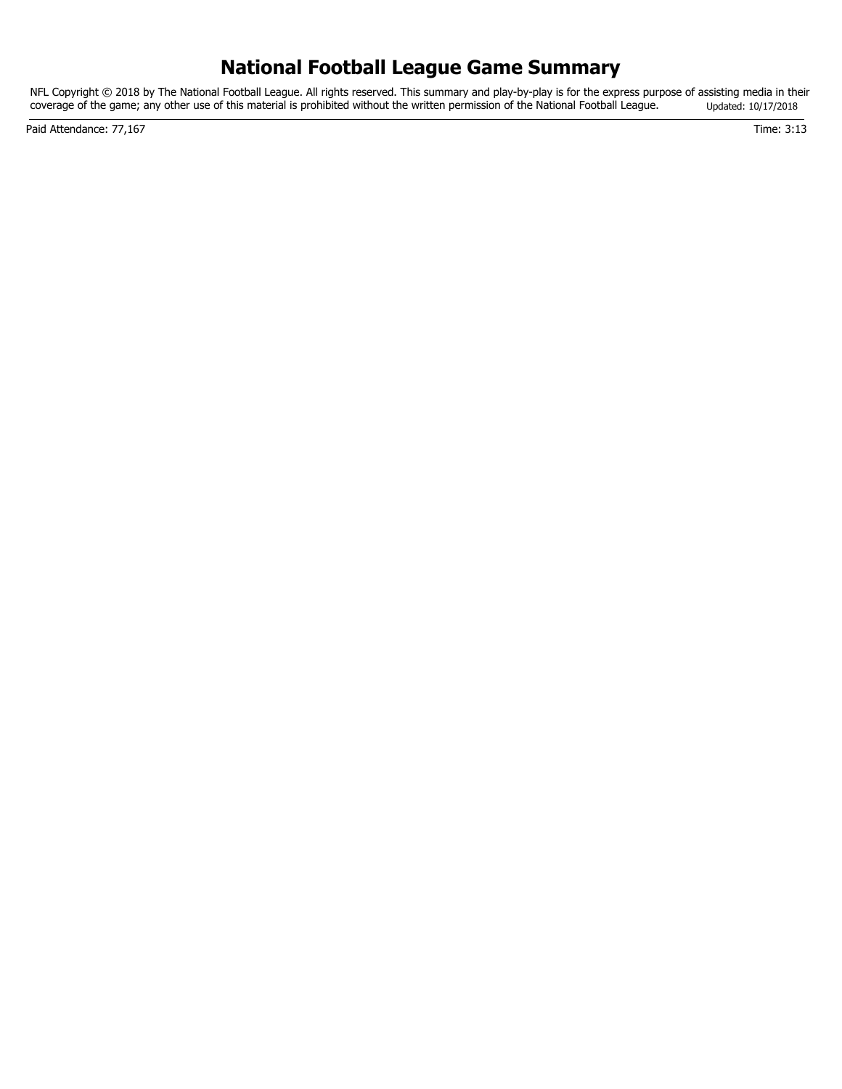## **National Football League Game Summary**

NFL Copyright © 2018 by The National Football League. All rights reserved. This summary and play-by-play is for the express purpose of assisting media in their coverage of the game; any other use of this material is prohibited without the written permission of the National Football League. Updated: 10/17/2018

Paid Attendance: 77,167 Time: 3:13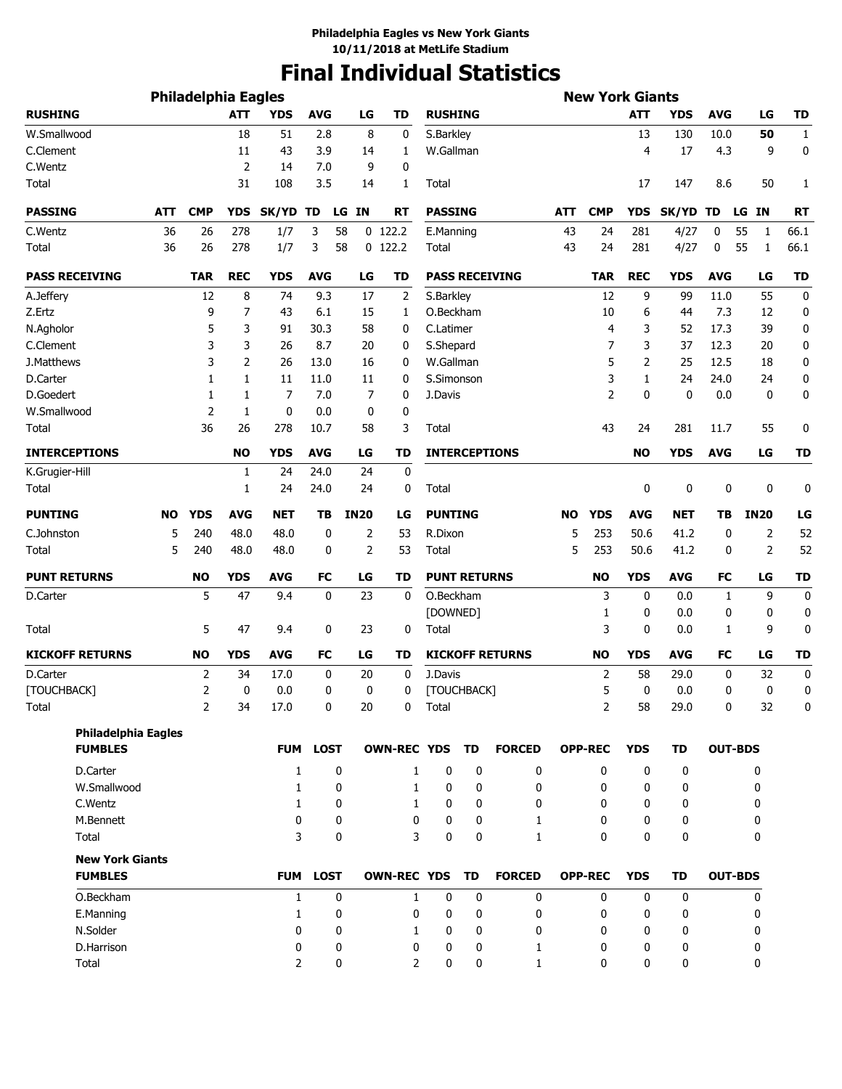# **Final Individual Statistics**

|                        |                            | <b>Philadelphia Eagles</b> |            |                |             |             |                    |                   |                     |                        |           | <b>New York Giants</b> |              |             |                |             |                  |
|------------------------|----------------------------|----------------------------|------------|----------------|-------------|-------------|--------------------|-------------------|---------------------|------------------------|-----------|------------------------|--------------|-------------|----------------|-------------|------------------|
| <b>RUSHING</b>         |                            |                            | <b>ATT</b> | <b>YDS</b>     | <b>AVG</b>  | LG          | <b>TD</b>          | <b>RUSHING</b>    |                     |                        |           |                        | <b>ATT</b>   | YDS         | <b>AVG</b>     | LG          | <b>TD</b>        |
| W.Smallwood            |                            |                            | 18         | 51             | 2.8         | 8           | 0                  | S.Barkley         |                     |                        |           |                        | 13           | 130         | 10.0           | 50          | $\mathbf{1}$     |
| C.Clement              |                            |                            | 11         | 43             | 3.9         | 14          | 1                  | W.Gallman         |                     |                        |           |                        | 4            | 17          | 4.3            | 9           | 0                |
| C.Wentz                |                            |                            | 2          | 14             | 7.0         | 9           | 0                  |                   |                     |                        |           |                        |              |             |                |             |                  |
| Total                  |                            |                            | 31         | 108            | 3.5         | 14          | 1                  | Total             |                     |                        |           |                        | 17           | 147         | 8.6            | 50          | 1                |
| <b>PASSING</b>         | <b>ATT</b>                 | <b>CMP</b>                 | <b>YDS</b> | SK/YD          | TD          | LG IN       | RT                 | <b>PASSING</b>    |                     |                        | ATT       | <b>CMP</b>             | <b>YDS</b>   | SK/YD TD    |                | LG IN       | <b>RT</b>        |
| C.Wentz                | 36                         | 26                         | 278        | 1/7            | 3           | 58          | $0$ 122.2          | E.Manning         |                     |                        | 43        | 24                     | 281          | 4/27        | 0              | 55<br>1     | 66.1             |
| Total                  | 36                         | 26                         | 278        | 1/7            | 3           | 58          | $0$ 122.2          | <b>Total</b>      |                     |                        | 43        | 24                     | 281          | 4/27        | 0              | 55<br>1     | 66.1             |
| <b>PASS RECEIVING</b>  |                            | <b>TAR</b>                 | <b>REC</b> | <b>YDS</b>     | <b>AVG</b>  | LG          | TD                 |                   |                     | <b>PASS RECEIVING</b>  |           | <b>TAR</b>             | <b>REC</b>   | <b>YDS</b>  | <b>AVG</b>     | LG          | <b>TD</b>        |
| A.Jeffery              |                            | 12                         | 8          | 74             | 9.3         | 17          | 2                  | S.Barkley         |                     |                        |           | 12                     | 9            | 99          | 11.0           | 55          | $\mathbf 0$      |
| Z.Ertz                 |                            | 9                          | 7          | 43             | 6.1         | 15          | 1                  | O.Beckham         |                     |                        |           | 10                     | 6            | 44          | 7.3            | 12          | 0                |
| N.Agholor              |                            | 5                          | 3          | 91             | 30.3        | 58          | 0                  | C.Latimer         |                     |                        |           | 4                      | 3            | 52          | 17.3           | 39          | 0                |
| C.Clement              |                            | 3                          | 3          | 26             | 8.7         | 20          | 0                  | S.Shepard         |                     |                        |           | 7                      | 3            | 37          | 12.3           | 20          | 0                |
| J.Matthews             |                            | 3                          | 2          | 26             | 13.0        | 16          | 0                  | W.Gallman         |                     |                        |           | 5                      | 2            | 25          | 12.5           | 18          | 0                |
| D.Carter               |                            | 1                          | 1          | 11             | 11.0        | 11          | 0                  | S.Simonson        |                     |                        |           | 3                      | 1            | 24          | 24.0           | 24          | $\bf{0}$         |
| D.Goedert              |                            | 1                          | 1          | 7              | 7.0         | 7           | 0                  | J.Davis           |                     |                        |           | $\overline{2}$         | $\mathbf{0}$ | 0           | 0.0            | $\mathbf 0$ | 0                |
| W.Smallwood            |                            | 2                          | 1          | 0              | 0.0         | 0           | 0                  |                   |                     |                        |           |                        |              |             |                |             |                  |
| <b>Total</b>           |                            | 36                         | 26         | 278            | 10.7        | 58          | 3                  | Total             |                     |                        |           | 43                     | 24           | 281         | 11.7           | 55          | 0                |
| <b>INTERCEPTIONS</b>   |                            |                            | <b>NO</b>  | <b>YDS</b>     | <b>AVG</b>  | LG          | TD                 |                   |                     | <b>INTERCEPTIONS</b>   |           |                        | <b>NO</b>    | <b>YDS</b>  | <b>AVG</b>     | LG          | <b>TD</b>        |
| K.Grugier-Hill         |                            |                            | 1          | 24             | 24.0        | 24          | 0                  |                   |                     |                        |           |                        |              |             |                |             |                  |
| Total                  |                            |                            | 1          | 24             | 24.0        | 24          | 0                  | Total             |                     |                        |           |                        | 0            | 0           | 0              | 0           | 0                |
| <b>PUNTING</b>         | NO                         | <b>YDS</b>                 | <b>AVG</b> | <b>NET</b>     | TВ          | <b>IN20</b> | LG                 | <b>PUNTING</b>    |                     |                        | <b>NO</b> | <b>YDS</b>             | <b>AVG</b>   | NET         | TΒ             | <b>IN20</b> | LG               |
| C.Johnston             | 5                          | 240                        | 48.0       | 48.0           | 0           | 2           | 53                 | R.Dixon           |                     |                        | 5         | 253                    | 50.6         | 41.2        | 0              | 2           | 52               |
| <b>Total</b>           | 5                          | 240                        | 48.0       | 48.0           | 0           | 2           | 53                 | Total             |                     |                        | 5         | 253                    | 50.6         | 41.2        | 0              | 2           | 52               |
| <b>PUNT RETURNS</b>    |                            | <b>NO</b>                  | <b>YDS</b> | <b>AVG</b>     | FC          | LG          | TD                 |                   | <b>PUNT RETURNS</b> |                        |           | <b>NO</b>              | <b>YDS</b>   | <b>AVG</b>  | <b>FC</b>      | LG          | <b>TD</b>        |
| D.Carter               |                            | 5                          | 47         | 9.4            | 0           | 23          | $\mathbf 0$        | O.Beckham         |                     |                        |           | 3                      | 0            | 0.0         | 1              | 9           | $\boldsymbol{0}$ |
| Total                  |                            | 5                          | 47         | 9.4            | 0           | 23          | 0                  | [DOWNED]<br>Total |                     |                        |           | 1<br>3                 | 0<br>0       | 0.0<br>0.0  | 0<br>1         | 0<br>9      | 0<br>0           |
|                        |                            |                            |            |                |             |             |                    |                   |                     |                        |           |                        |              |             |                |             |                  |
| <b>KICKOFF RETURNS</b> |                            | <b>NO</b>                  | <b>YDS</b> | <b>AVG</b>     | <b>FC</b>   | LG          | TD                 |                   |                     | <b>KICKOFF RETURNS</b> |           | <b>NO</b>              | <b>YDS</b>   | <b>AVG</b>  | FC             | LG          | <b>TD</b>        |
| <b>D.Carter</b>        |                            | $\overline{2}$             | 34         | 17.0           | 0           | 20          | $\mathbf 0$        | J.Davis           |                     |                        |           | $\overline{2}$         | 58           | 29.0        | 0              | 32          | $\boldsymbol{0}$ |
| [TOUCHBACK]            |                            | $\overline{2}$             | 0          | 0.0            | 0           | 0           | 0                  | [TOUCHBACK]       |                     |                        |           | 5                      | 0            | 0.0         | 0              | 0           | 0                |
| Total                  |                            | 2                          | 34         | 17.0           | $\pmb{0}$   | $20\,$      | $\bf{0}$           | Total             |                     |                        |           | 2                      | 58           | 29.0        | 0              | 32          | $\Omega$         |
| <b>FUMBLES</b>         | <b>Philadelphia Eagles</b> |                            |            | <b>FUM</b>     | <b>LOST</b> |             | <b>OWN-REC YDS</b> |                   | <b>TD</b>           | <b>FORCED</b>          |           | <b>OPP-REC</b>         | <b>YDS</b>   | TD          | <b>OUT-BDS</b> |             |                  |
| D.Carter               |                            |                            |            | $\mathbf{1}$   |             | $\mathbf 0$ | 1                  | $\mathbf 0$       | 0                   | $\mathbf 0$            |           | $\mathbf{0}$           | $\mathbf{0}$ | 0           |                | 0           |                  |
| W.Smallwood            |                            |                            |            | 1              |             | 0           | 1                  | 0                 | 0                   | 0                      |           | $\mathbf{0}$           | 0            | 0           |                | 0           |                  |
| C.Wentz                |                            |                            |            | $\mathbf{1}$   |             | 0           | 1                  | 0                 | 0                   | 0                      |           | 0                      | 0            | 0           |                | 0           |                  |
| M.Bennett              |                            |                            |            | 0              |             | 0           | 0                  | 0                 | 0                   | 1                      |           | 0                      | 0            | 0           |                | 0           |                  |
| Total                  |                            |                            |            | 3              |             | 0           | 3                  | $\mathbf 0$       | 0                   | 1                      |           | $\mathbf{0}$           | $\mathbf{0}$ | 0           |                | 0           |                  |
| <b>New York Giants</b> |                            |                            |            |                |             |             |                    |                   |                     |                        |           |                        |              |             |                |             |                  |
| <b>FUMBLES</b>         |                            |                            |            |                | FUM LOST    |             | <b>OWN-REC YDS</b> |                   | <b>TD</b>           | <b>FORCED</b>          |           | <b>OPP-REC</b>         | <b>YDS</b>   | TD          | <b>OUT-BDS</b> |             |                  |
| O.Beckham              |                            |                            |            | $\mathbf{1}$   |             | $\mathbf 0$ | $\mathbf{1}$       | $\mathbf 0$       | $\mathbf 0$         | $\bf{0}$               |           | 0                      | $\mathbf{0}$ | $\mathbf 0$ |                | 0           |                  |
| E.Manning              |                            |                            |            | $\mathbf{1}$   |             | 0           | 0                  | 0                 | 0                   | 0                      |           | 0                      | 0            | 0           |                | 0           |                  |
| N.Solder               |                            |                            |            | 0              |             | 0           | 1                  | 0                 | 0                   | 0                      |           | 0                      | $\mathbf{0}$ | 0           |                | 0           |                  |
| D.Harrison             |                            |                            |            | 0              |             | 0           | 0                  | 0                 | 0                   | 1                      |           | 0                      | 0            | 0           |                | 0           |                  |
| Total                  |                            |                            |            | $\overline{2}$ |             | 0           | $\overline{2}$     | 0                 | 0                   | $\mathbf{1}$           |           | $\mathbf{0}$           | $\mathbf{0}$ | 0           |                | 0           |                  |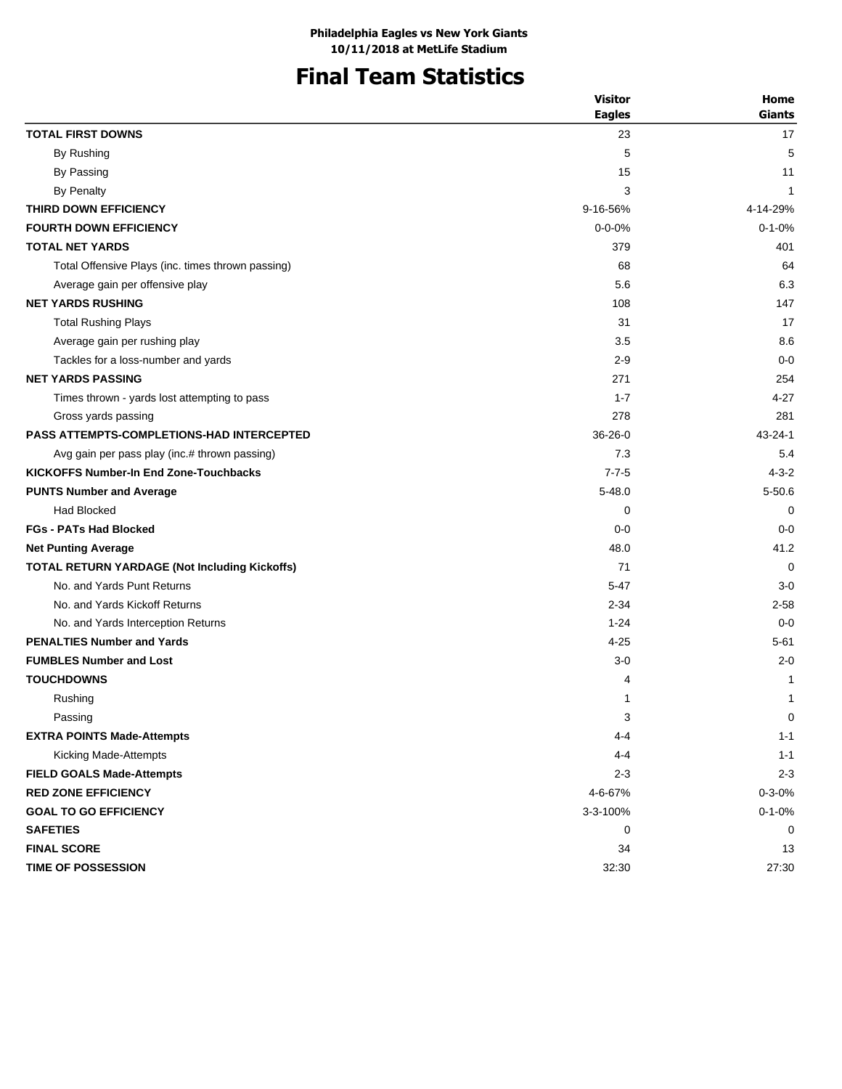## **Final Team Statistics**

| <b>Eagles</b><br><b>TOTAL FIRST DOWNS</b><br>23<br>By Rushing<br>5<br>By Passing<br>15<br><b>By Penalty</b><br>3<br>THIRD DOWN EFFICIENCY<br>9-16-56%<br><b>FOURTH DOWN EFFICIENCY</b><br>$0 - 0 - 0%$<br><b>TOTAL NET YARDS</b><br>379<br>Total Offensive Plays (inc. times thrown passing)<br>68<br>5.6<br>Average gain per offensive play<br><b>NET YARDS RUSHING</b><br>108<br><b>Total Rushing Plays</b><br>31<br>3.5<br>Average gain per rushing play<br>Tackles for a loss-number and yards<br>$2 - 9$<br><b>NET YARDS PASSING</b><br>271<br>$1 - 7$<br>Times thrown - yards lost attempting to pass<br>278<br>Gross yards passing<br><b>PASS ATTEMPTS-COMPLETIONS-HAD INTERCEPTED</b><br>$36 - 26 - 0$<br>7.3<br>Avg gain per pass play (inc.# thrown passing)<br><b>KICKOFFS Number-In End Zone-Touchbacks</b><br>$7 - 7 - 5$<br><b>PUNTS Number and Average</b><br>$5 - 48.0$<br><b>Had Blocked</b><br>0<br><b>FGs - PATs Had Blocked</b><br>$0-0$<br>48.0<br><b>Net Punting Average</b><br><b>TOTAL RETURN YARDAGE (Not Including Kickoffs)</b><br>71<br>No. and Yards Punt Returns<br>$5 - 47$<br>No. and Yards Kickoff Returns<br>$2 - 34$<br>No. and Yards Interception Returns<br>$1 - 24$<br><b>PENALTIES Number and Yards</b><br>$4 - 25$<br><b>FUMBLES Number and Lost</b><br>$3 - 0$<br><b>TOUCHDOWNS</b><br>4<br>Rushing<br>1<br>3<br>Passing<br><b>EXTRA POINTS Made-Attempts</b><br>$4 - 4$ | <b>Visitor</b> | Home          |
|-------------------------------------------------------------------------------------------------------------------------------------------------------------------------------------------------------------------------------------------------------------------------------------------------------------------------------------------------------------------------------------------------------------------------------------------------------------------------------------------------------------------------------------------------------------------------------------------------------------------------------------------------------------------------------------------------------------------------------------------------------------------------------------------------------------------------------------------------------------------------------------------------------------------------------------------------------------------------------------------------------------------------------------------------------------------------------------------------------------------------------------------------------------------------------------------------------------------------------------------------------------------------------------------------------------------------------------------------------------------------------------------------------------------|----------------|---------------|
|                                                                                                                                                                                                                                                                                                                                                                                                                                                                                                                                                                                                                                                                                                                                                                                                                                                                                                                                                                                                                                                                                                                                                                                                                                                                                                                                                                                                                   |                | <b>Giants</b> |
|                                                                                                                                                                                                                                                                                                                                                                                                                                                                                                                                                                                                                                                                                                                                                                                                                                                                                                                                                                                                                                                                                                                                                                                                                                                                                                                                                                                                                   |                | 17            |
|                                                                                                                                                                                                                                                                                                                                                                                                                                                                                                                                                                                                                                                                                                                                                                                                                                                                                                                                                                                                                                                                                                                                                                                                                                                                                                                                                                                                                   |                | 5             |
|                                                                                                                                                                                                                                                                                                                                                                                                                                                                                                                                                                                                                                                                                                                                                                                                                                                                                                                                                                                                                                                                                                                                                                                                                                                                                                                                                                                                                   |                | 11            |
|                                                                                                                                                                                                                                                                                                                                                                                                                                                                                                                                                                                                                                                                                                                                                                                                                                                                                                                                                                                                                                                                                                                                                                                                                                                                                                                                                                                                                   |                | 1             |
|                                                                                                                                                                                                                                                                                                                                                                                                                                                                                                                                                                                                                                                                                                                                                                                                                                                                                                                                                                                                                                                                                                                                                                                                                                                                                                                                                                                                                   |                | 4-14-29%      |
|                                                                                                                                                                                                                                                                                                                                                                                                                                                                                                                                                                                                                                                                                                                                                                                                                                                                                                                                                                                                                                                                                                                                                                                                                                                                                                                                                                                                                   |                | $0 - 1 - 0%$  |
|                                                                                                                                                                                                                                                                                                                                                                                                                                                                                                                                                                                                                                                                                                                                                                                                                                                                                                                                                                                                                                                                                                                                                                                                                                                                                                                                                                                                                   |                | 401           |
|                                                                                                                                                                                                                                                                                                                                                                                                                                                                                                                                                                                                                                                                                                                                                                                                                                                                                                                                                                                                                                                                                                                                                                                                                                                                                                                                                                                                                   |                | 64            |
|                                                                                                                                                                                                                                                                                                                                                                                                                                                                                                                                                                                                                                                                                                                                                                                                                                                                                                                                                                                                                                                                                                                                                                                                                                                                                                                                                                                                                   |                | 6.3           |
|                                                                                                                                                                                                                                                                                                                                                                                                                                                                                                                                                                                                                                                                                                                                                                                                                                                                                                                                                                                                                                                                                                                                                                                                                                                                                                                                                                                                                   |                | 147           |
|                                                                                                                                                                                                                                                                                                                                                                                                                                                                                                                                                                                                                                                                                                                                                                                                                                                                                                                                                                                                                                                                                                                                                                                                                                                                                                                                                                                                                   |                | 17            |
|                                                                                                                                                                                                                                                                                                                                                                                                                                                                                                                                                                                                                                                                                                                                                                                                                                                                                                                                                                                                                                                                                                                                                                                                                                                                                                                                                                                                                   |                | 8.6           |
|                                                                                                                                                                                                                                                                                                                                                                                                                                                                                                                                                                                                                                                                                                                                                                                                                                                                                                                                                                                                                                                                                                                                                                                                                                                                                                                                                                                                                   |                | $0 - 0$       |
|                                                                                                                                                                                                                                                                                                                                                                                                                                                                                                                                                                                                                                                                                                                                                                                                                                                                                                                                                                                                                                                                                                                                                                                                                                                                                                                                                                                                                   |                | 254           |
|                                                                                                                                                                                                                                                                                                                                                                                                                                                                                                                                                                                                                                                                                                                                                                                                                                                                                                                                                                                                                                                                                                                                                                                                                                                                                                                                                                                                                   |                | $4 - 27$      |
|                                                                                                                                                                                                                                                                                                                                                                                                                                                                                                                                                                                                                                                                                                                                                                                                                                                                                                                                                                                                                                                                                                                                                                                                                                                                                                                                                                                                                   |                | 281           |
|                                                                                                                                                                                                                                                                                                                                                                                                                                                                                                                                                                                                                                                                                                                                                                                                                                                                                                                                                                                                                                                                                                                                                                                                                                                                                                                                                                                                                   |                | $43 - 24 - 1$ |
|                                                                                                                                                                                                                                                                                                                                                                                                                                                                                                                                                                                                                                                                                                                                                                                                                                                                                                                                                                                                                                                                                                                                                                                                                                                                                                                                                                                                                   |                | 5.4           |
|                                                                                                                                                                                                                                                                                                                                                                                                                                                                                                                                                                                                                                                                                                                                                                                                                                                                                                                                                                                                                                                                                                                                                                                                                                                                                                                                                                                                                   |                | $4 - 3 - 2$   |
|                                                                                                                                                                                                                                                                                                                                                                                                                                                                                                                                                                                                                                                                                                                                                                                                                                                                                                                                                                                                                                                                                                                                                                                                                                                                                                                                                                                                                   |                | $5 - 50.6$    |
|                                                                                                                                                                                                                                                                                                                                                                                                                                                                                                                                                                                                                                                                                                                                                                                                                                                                                                                                                                                                                                                                                                                                                                                                                                                                                                                                                                                                                   |                | 0             |
|                                                                                                                                                                                                                                                                                                                                                                                                                                                                                                                                                                                                                                                                                                                                                                                                                                                                                                                                                                                                                                                                                                                                                                                                                                                                                                                                                                                                                   |                | $0 - 0$       |
|                                                                                                                                                                                                                                                                                                                                                                                                                                                                                                                                                                                                                                                                                                                                                                                                                                                                                                                                                                                                                                                                                                                                                                                                                                                                                                                                                                                                                   |                | 41.2          |
|                                                                                                                                                                                                                                                                                                                                                                                                                                                                                                                                                                                                                                                                                                                                                                                                                                                                                                                                                                                                                                                                                                                                                                                                                                                                                                                                                                                                                   |                | $\Omega$      |
|                                                                                                                                                                                                                                                                                                                                                                                                                                                                                                                                                                                                                                                                                                                                                                                                                                                                                                                                                                                                                                                                                                                                                                                                                                                                                                                                                                                                                   |                | $3 - 0$       |
|                                                                                                                                                                                                                                                                                                                                                                                                                                                                                                                                                                                                                                                                                                                                                                                                                                                                                                                                                                                                                                                                                                                                                                                                                                                                                                                                                                                                                   |                | 2-58          |
|                                                                                                                                                                                                                                                                                                                                                                                                                                                                                                                                                                                                                                                                                                                                                                                                                                                                                                                                                                                                                                                                                                                                                                                                                                                                                                                                                                                                                   |                | $0 - 0$       |
|                                                                                                                                                                                                                                                                                                                                                                                                                                                                                                                                                                                                                                                                                                                                                                                                                                                                                                                                                                                                                                                                                                                                                                                                                                                                                                                                                                                                                   |                | $5 - 61$      |
|                                                                                                                                                                                                                                                                                                                                                                                                                                                                                                                                                                                                                                                                                                                                                                                                                                                                                                                                                                                                                                                                                                                                                                                                                                                                                                                                                                                                                   |                | $2 - 0$       |
|                                                                                                                                                                                                                                                                                                                                                                                                                                                                                                                                                                                                                                                                                                                                                                                                                                                                                                                                                                                                                                                                                                                                                                                                                                                                                                                                                                                                                   |                | 1             |
|                                                                                                                                                                                                                                                                                                                                                                                                                                                                                                                                                                                                                                                                                                                                                                                                                                                                                                                                                                                                                                                                                                                                                                                                                                                                                                                                                                                                                   |                | 1             |
|                                                                                                                                                                                                                                                                                                                                                                                                                                                                                                                                                                                                                                                                                                                                                                                                                                                                                                                                                                                                                                                                                                                                                                                                                                                                                                                                                                                                                   |                | $\pmb{0}$     |
|                                                                                                                                                                                                                                                                                                                                                                                                                                                                                                                                                                                                                                                                                                                                                                                                                                                                                                                                                                                                                                                                                                                                                                                                                                                                                                                                                                                                                   |                | $1 - 1$       |
| Kicking Made-Attempts<br>$4 - 4$                                                                                                                                                                                                                                                                                                                                                                                                                                                                                                                                                                                                                                                                                                                                                                                                                                                                                                                                                                                                                                                                                                                                                                                                                                                                                                                                                                                  |                | $1 - 1$       |
| <b>FIELD GOALS Made-Attempts</b><br>$2 - 3$                                                                                                                                                                                                                                                                                                                                                                                                                                                                                                                                                                                                                                                                                                                                                                                                                                                                                                                                                                                                                                                                                                                                                                                                                                                                                                                                                                       |                | $2 - 3$       |
| <b>RED ZONE EFFICIENCY</b><br>4-6-67%                                                                                                                                                                                                                                                                                                                                                                                                                                                                                                                                                                                                                                                                                                                                                                                                                                                                                                                                                                                                                                                                                                                                                                                                                                                                                                                                                                             |                | $0 - 3 - 0%$  |
| 3-3-100%<br><b>GOAL TO GO EFFICIENCY</b>                                                                                                                                                                                                                                                                                                                                                                                                                                                                                                                                                                                                                                                                                                                                                                                                                                                                                                                                                                                                                                                                                                                                                                                                                                                                                                                                                                          |                | $0 - 1 - 0%$  |
| <b>SAFETIES</b><br>0                                                                                                                                                                                                                                                                                                                                                                                                                                                                                                                                                                                                                                                                                                                                                                                                                                                                                                                                                                                                                                                                                                                                                                                                                                                                                                                                                                                              |                | 0             |
| <b>FINAL SCORE</b><br>34                                                                                                                                                                                                                                                                                                                                                                                                                                                                                                                                                                                                                                                                                                                                                                                                                                                                                                                                                                                                                                                                                                                                                                                                                                                                                                                                                                                          |                | 13            |
| TIME OF POSSESSION<br>32:30                                                                                                                                                                                                                                                                                                                                                                                                                                                                                                                                                                                                                                                                                                                                                                                                                                                                                                                                                                                                                                                                                                                                                                                                                                                                                                                                                                                       |                | 27:30         |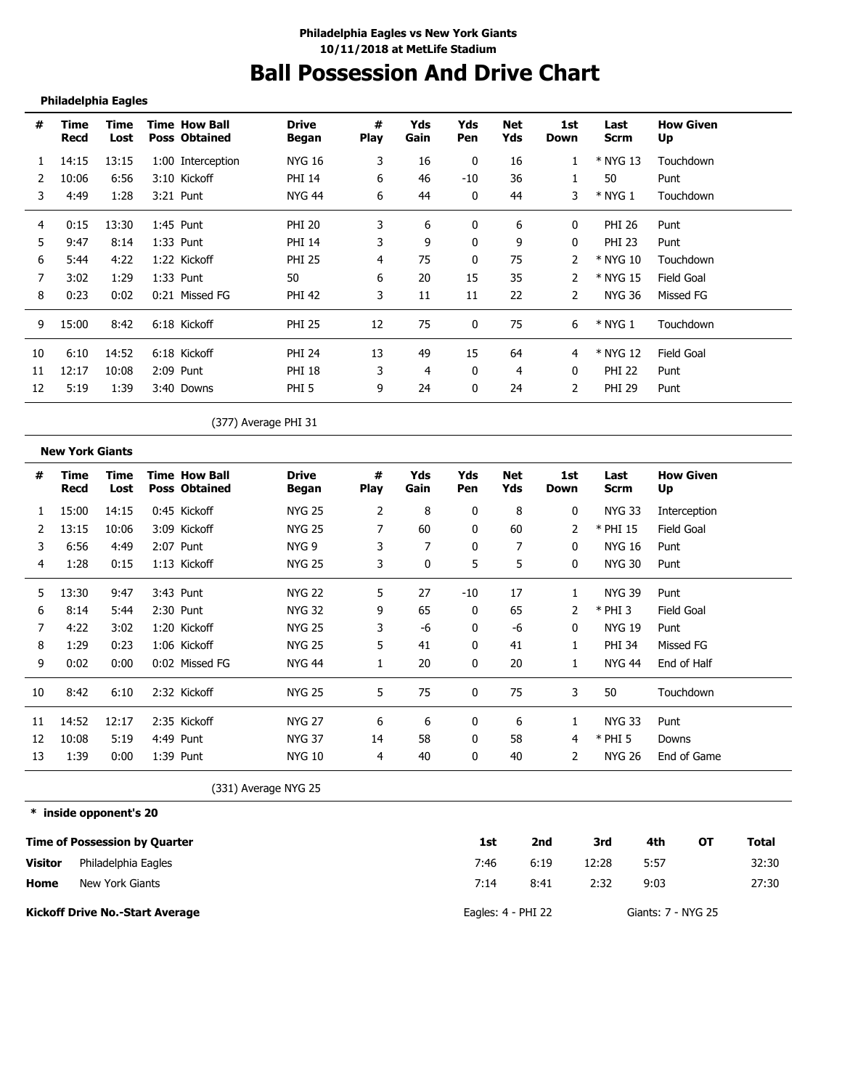# **Ball Possession And Drive Chart**

#### **Philadelphia Eagles**

-----------------------------------

| #  | Time<br>Recd | Time<br>Lost | <b>Time How Ball</b><br><b>Poss Obtained</b> | <b>Drive</b><br>Began | #<br><b>Play</b> | Yds<br>Gain | Yds<br><b>Pen</b> | <b>Net</b><br>Yds | 1st<br>Down | Last<br><b>Scrm</b> | <b>How Given</b><br>Up |  |
|----|--------------|--------------|----------------------------------------------|-----------------------|------------------|-------------|-------------------|-------------------|-------------|---------------------|------------------------|--|
|    | 14:15        | 13:15        | 1:00 Interception                            | NYG 16                | 3                | 16          | $\bf{0}$          | 16                |             | * NYG 13            | Touchdown              |  |
|    | 10:06        | 6:56         | 3:10 Kickoff                                 | <b>PHI 14</b>         | 6                | 46          | $-10$             | 36                |             | 50                  | Punt                   |  |
| 3  | 4:49         | 1:28         | 3:21 Punt                                    | <b>NYG 44</b>         | 6                | 44          | 0                 | 44                | 3           | $*$ NYG 1           | Touchdown              |  |
| 4  | 0:15         | 13:30        | $1:45$ Punt                                  | <b>PHI 20</b>         | 3                | 6           | 0                 | 6                 | 0           | PHI 26              | Punt                   |  |
| 5  | 9:47         | 8:14         | 1:33 Punt                                    | <b>PHI 14</b>         | 3                | 9           | 0                 | 9                 | 0           | <b>PHI 23</b>       | Punt                   |  |
| 6  | 5:44         | 4:22         | 1:22 Kickoff                                 | <b>PHI 25</b>         | 4                | 75          | 0                 | 75                | 2           | * NYG 10            | Touchdown              |  |
|    | 3:02         | 1:29         | $1:33$ Punt                                  | 50                    | 6                | 20          | 15                | 35                | 2           | * NYG 15            | Field Goal             |  |
| 8  | 0:23         | 0:02         | 0:21 Missed FG                               | <b>PHI 42</b>         | 3                | 11          | 11                | 22                | 2           | NYG 36              | Missed FG              |  |
| 9  | 15:00        | 8:42         | 6:18 Kickoff                                 | <b>PHI 25</b>         | 12               | 75          | $\mathbf{0}$      | 75                | 6           | $*$ NYG 1           | Touchdown              |  |
| 10 | 6:10         | 14:52        | 6:18 Kickoff                                 | <b>PHI 24</b>         | 13               | 49          | 15                | 64                | 4           | * NYG 12            | Field Goal             |  |
| 11 | 12:17        | 10:08        | 2:09 Punt                                    | PHI 18                | 3                | 4           | 0                 | 4                 | 0           | <b>PHI 22</b>       | Punt                   |  |
| 12 | 5:19         | 1:39         | 3:40 Downs                                   | PHI <sub>5</sub>      | 9                | 24          | 0                 | 24                | 2           | <b>PHI 29</b>       | Punt                   |  |

(377) Average PHI 31

|    | <b>New York Giants</b> |              |                                              |                       |                  |             |            |            |              |                     |                        |
|----|------------------------|--------------|----------------------------------------------|-----------------------|------------------|-------------|------------|------------|--------------|---------------------|------------------------|
| #  | Time<br>Recd           | Time<br>Lost | <b>Time How Ball</b><br><b>Poss Obtained</b> | <b>Drive</b><br>Began | #<br><b>Play</b> | Yds<br>Gain | Yds<br>Pen | Net<br>Yds | 1st<br>Down  | Last<br><b>Scrm</b> | <b>How Given</b><br>Up |
|    | 15:00                  | 14:15        | 0:45 Kickoff                                 | <b>NYG 25</b>         | 2                | 8           | 0          | 8          | 0            | <b>NYG 33</b>       | Interception           |
|    | 13:15                  | 10:06        | 3:09 Kickoff                                 | <b>NYG 25</b>         |                  | 60          | 0          | 60         | 2            | * PHI 15            | Field Goal             |
| 3  | 6:56                   | 4:49         | 2:07 Punt                                    | NYG <sub>9</sub>      | 3                |             | 0          | 7          | 0            | <b>NYG 16</b>       | Punt                   |
| 4  | 1:28                   | 0:15         | 1:13 Kickoff                                 | <b>NYG 25</b>         | 3                | $\Omega$    | 5          | 5          | $\mathbf{0}$ | <b>NYG 30</b>       | Punt                   |
| 5  | 13:30                  | 9:47         | 3:43 Punt                                    | <b>NYG 22</b>         | 5                | 27          | -10        | 17         | 1            | <b>NYG 39</b>       | Punt                   |
| 6  | 8:14                   | 5:44         | 2:30 Punt                                    | <b>NYG 32</b>         | 9                | 65          | 0          | 65         | 2            | $*$ PHI 3           | Field Goal             |
|    | 4:22                   | 3:02         | 1:20 Kickoff                                 | <b>NYG 25</b>         | 3                | -6          | 0          | -6         | 0            | <b>NYG 19</b>       | Punt                   |
| 8  | 1:29                   | 0:23         | 1:06 Kickoff                                 | <b>NYG 25</b>         | 5                | 41          | 0          | 41         | 1            | <b>PHI 34</b>       | Missed FG              |
| 9  | 0:02                   | 0:00         | 0:02 Missed FG                               | <b>NYG 44</b>         |                  | 20          | 0          | 20         | $\mathbf{1}$ | <b>NYG 44</b>       | End of Half            |
| 10 | 8:42                   | 6:10         | 2:32 Kickoff                                 | <b>NYG 25</b>         | 5                | 75          | $\Omega$   | 75         | 3            | 50                  | Touchdown              |
| 11 | 14:52                  | 12:17        | 2:35 Kickoff                                 | <b>NYG 27</b>         | 6                | 6           | 0          | 6          |              | <b>NYG 33</b>       | Punt                   |
| 12 | 10:08                  | 5:19         | 4:49 Punt                                    | <b>NYG 37</b>         | 14               | 58          | 0          | 58         | 4            | $*$ PHI 5           | Downs                  |
| 13 | 1:39                   | 0:00         | 1:39 Punt                                    | <b>NYG 10</b>         | 4                | 40          | 0          | 40         | 2            | <b>NYG 26</b>       | End of Game            |

(331) Average NYG 25

**\* inside opponent's 20**

|                | <b>Time of Possession by Quarter</b>   | 1st                    | 2nd  | 3rd   | 4th                | ЮT | Total |
|----------------|----------------------------------------|------------------------|------|-------|--------------------|----|-------|
| <b>Visitor</b> | Philadelphia Eagles                    | 7:46                   | 6:19 | 12:28 | 5:57               |    | 32:30 |
| Home           | New York Giants                        | 7:14                   | 8:41 | 2:32  | 9:03               |    | 27:30 |
|                | <b>Kickoff Drive No.-Start Average</b> | Eagles: $4$ - $PHI$ 22 |      |       | Giants: 7 - NYG 25 |    |       |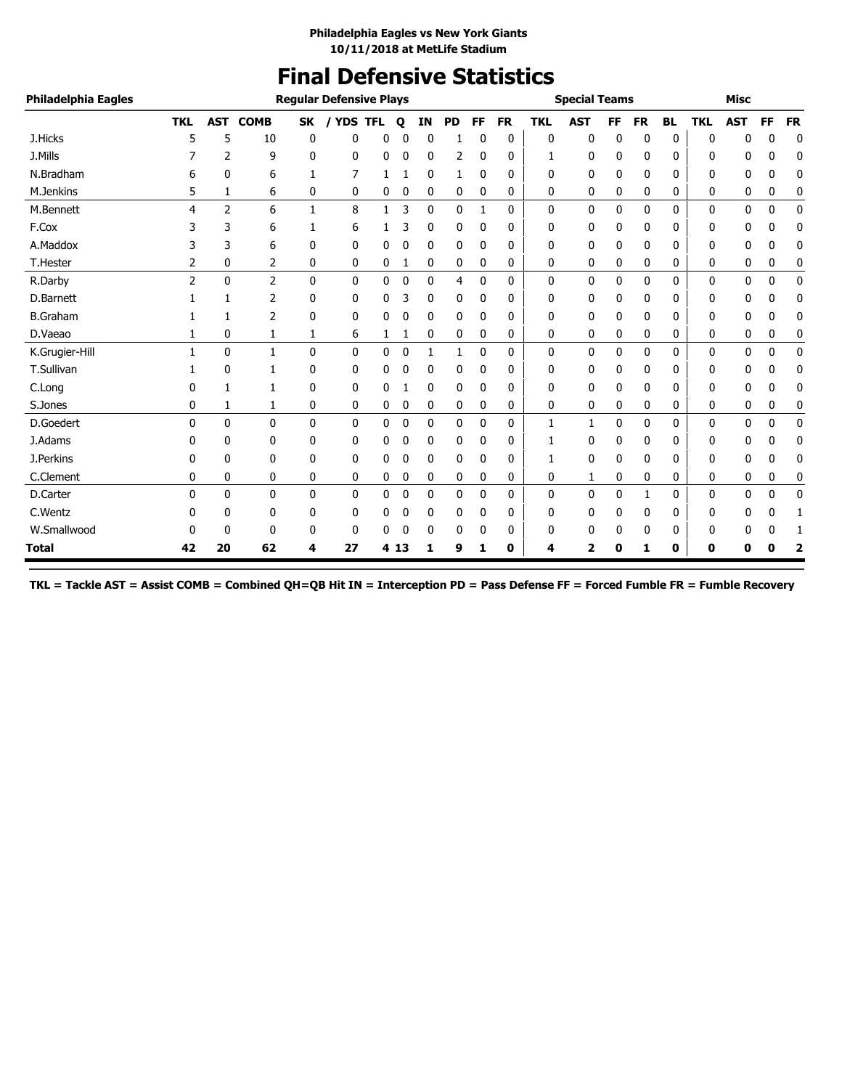### **Final Defensive Statistics**

| Philadelphia Eagles |            |                |              |              | <b>Regular Defensive Plays</b> |              |             |    |           |              |           |              | <b>Special Teams</b> |    |           |           |            | <b>Misc</b> |    |             |
|---------------------|------------|----------------|--------------|--------------|--------------------------------|--------------|-------------|----|-----------|--------------|-----------|--------------|----------------------|----|-----------|-----------|------------|-------------|----|-------------|
|                     | <b>TKL</b> | AST            | <b>COMB</b>  | <b>SK</b>    | <b>YDS TFL</b>                 |              | Q           | ΙN | <b>PD</b> | FF           | <b>FR</b> | <b>TKL</b>   | <b>AST</b>           | FF | <b>FR</b> | <b>BL</b> | <b>TKL</b> | <b>AST</b>  | FF | <b>FR</b>   |
| J.Hicks             | 5          | 5              | 10           | 0            | 0                              | 0            | 0           | 0  |           | 0            | 0         | 0            | 0                    | 0  | 0         | 0         | 0          | n           | 0  | $\mathbf 0$ |
| J.Mills             |            | 2              | 9            | 0            | 0                              | 0            | 0           | 0  | 2         | 0            | 0         | 1            | 0                    | 0  | 0         | 0         | 0          | 0           | 0  | 0           |
| N.Bradham           |            | 0              | 6            |              | 7                              | 1            |             | 0  | 1         | 0            | 0         | 0            | $\mathbf 0$          | 0  | 0         | 0         | 0          | 0           | 0  | 0           |
| M.Jenkins           | 5          | 1              | 6            | 0            | 0                              | 0            | 0           | 0  | 0         | 0            | 0         | 0            | 0                    | 0  | 0         | 0         | 0          | 0           | 0  | 0           |
| M.Bennett           | 4          | $\overline{2}$ | 6            | $\mathbf{1}$ | 8                              | $\mathbf{1}$ | 3           | 0  | 0         | $\mathbf{1}$ | 0         | 0            | 0                    | 0  | 0         | 0         | 0          | 0           | 0  | $\mathbf 0$ |
| F.Cox               | 3          | 3              | 6            | 1            | 6                              |              | 3           | 0  | 0         | 0            | 0         | 0            | 0                    | 0  | 0         | 0         | 0          | 0           | ŋ  | 0           |
| A.Maddox            | 3          | 3              | 6            | 0            | 0                              | 0            | 0           | 0  | 0         | 0            | 0         | 0            | 0                    | 0  | 0         | 0         | 0          | 0           | 0  | 0           |
| <b>T.Hester</b>     | 2          | 0              | 2            | 0            | 0                              | 0            | 1           | 0  | 0         | 0            | 0         | 0            | 0                    | 0  | 0         | 0         | 0          | 0           | 0  | 0           |
| R.Darby             | 2          | $\Omega$       | 2            | $\mathbf{0}$ | $\mathbf{0}$                   | 0            | $\mathbf 0$ | 0  | 4         | 0            | 0         | $\mathbf{0}$ | 0                    | 0  | 0         | 0         | 0          | 0           | 0  | 0           |
| D.Barnett           |            | 1              | 2            | 0            | 0                              | 0            | 3           | 0  | 0         | 0            | 0         | 0            | 0                    | 0  | 0         | 0         | 0          | 0           | ŋ  | 0           |
| <b>B.Graham</b>     |            | 1              | 2            | 0            | 0                              | 0            | 0           | 0  | 0         | 0            | 0         | 0            | 0                    | 0  | 0         | 0         | 0          | 0           | n  | 0           |
| D.Vaeao             |            | 0              | 1            | 1            | 6                              | 1            | 1           | 0  | 0         | 0            | 0         | 0            | 0                    | 0  | 0         | 0         | 0          | 0           | 0  | 0           |
| K.Grugier-Hill      | 1          | $\mathbf{0}$   | $\mathbf{1}$ | $\mathbf{0}$ | $\mathbf{0}$                   | 0            | 0           | 1  | 1         | 0            | 0         | $\mathbf{0}$ | 0                    | 0  | 0         | 0         | 0          | 0           | 0  | 0           |
| T.Sullivan          |            | 0              | 1            | 0            | 0                              | 0            | 0           | 0  | 0         | 0            | 0         | 0            | 0                    | 0  | 0         | 0         | 0          | 0           | 0  | 0           |
| C.Long              | 0          | 1              | 1            | 0            | 0                              | 0            | 1           | 0  | 0         | 0            | 0         | 0            | 0                    | 0  | 0         | 0         | 0          | 0           | 0  | 0           |
| S.Jones             | 0          | 1              | 1            | 0            | 0                              | 0            | 0           | 0  | 0         | 0            | 0         | 0            | 0                    | 0  | 0         | 0         | 0          | 0           | 0  | 0           |
| D.Goedert           | 0          | 0              | $\mathbf{0}$ | 0            | $\mathbf{0}$                   | 0            | 0           | 0  | 0         | 0            | 0         | 1            | 1                    | 0  | 0         | 0         | 0          | 0           | 0  | $\mathbf 0$ |
| J.Adams             |            | 0              | 0            | 0            | 0                              | 0            | 0           | 0  | 0         | 0            | 0         | 1            | 0                    | 0  | 0         | 0         | 0          | 0           | 0  | 0           |
| J.Perkins           | 0          | 0              | 0            | 0            | 0                              | 0            | 0           | 0  | 0         | 0            | 0         |              | 0                    | 0  | 0         | 0         | 0          | 0           | 0  | 0           |
| C.Clement           | 0          | 0              | 0            | 0            | 0                              | 0            | 0           | 0  | 0         | 0            | 0         | 0            | 1                    | 0  | 0         | 0         | 0          | 0           | 0  | 0           |
| D.Carter            | $\Omega$   | $\mathbf{0}$   | $\mathbf{0}$ | $\mathbf{0}$ | 0                              | 0            | 0           | 0  | 0         | 0            | 0         | 0            | 0                    | 0  | 1         | 0         | 0          | 0           | 0  | 0           |
| C.Wentz             | 0          | 0              | 0            | 0            | 0                              | 0            | 0           | 0  | 0         | 0            | 0         | 0            | 0                    | 0  | 0         | 0         | 0          | 0           | 0  | 1           |
| W.Smallwood         |            | 0              | 0            | 0            | 0                              | 0            | 0           | 0  | 0         | 0            | 0         | 0            | 0                    | 0  | 0         | 0         | 0          | 0           | 0  | -1          |
| Total               | 42         | 20             | 62           | 4            | 27                             |              | 4 13        | 1  | 9         | 1            | 0         | 4            | 2                    | Ω  | 1         | 0         | 0          | 0           | 0  |             |

**TKL = Tackle AST = Assist COMB = Combined QH=QB Hit IN = Interception PD = Pass Defense FF = Forced Fumble FR = Fumble Recovery**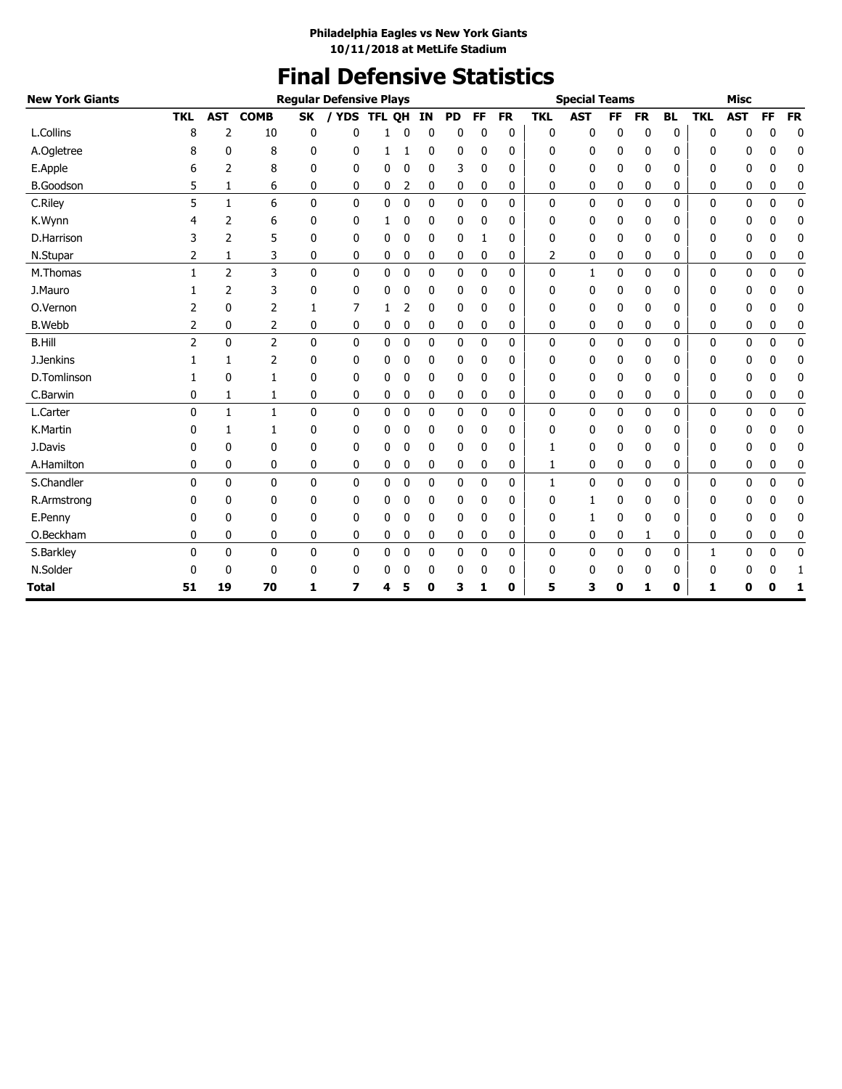# **Final Defensive Statistics**

| <b>New York Giants</b> |              |              |                |              | <b>Regular Defensive Plays</b> |        |             |              |              |             |           |              | <b>Special Teams</b> |           |           |           |              | <b>Misc</b> |              |             |
|------------------------|--------------|--------------|----------------|--------------|--------------------------------|--------|-------------|--------------|--------------|-------------|-----------|--------------|----------------------|-----------|-----------|-----------|--------------|-------------|--------------|-------------|
|                        | <b>TKL</b>   | <b>AST</b>   | <b>COMB</b>    | <b>SK</b>    | / YDS                          | TFL QH |             | ΙN           | <b>PD</b>    | <b>FF</b>   | <b>FR</b> | <b>TKL</b>   | <b>AST</b>           | <b>FF</b> | <b>FR</b> | <b>BL</b> | <b>TKL</b>   | <b>AST</b>  | <b>FF</b>    | <b>FR</b>   |
| L.Collins              | 8            | 2            | 10             | 0            | 0                              | 1      | 0           | 0            | 0            | 0           | 0         | 0            | 0                    | 0         | 0         | 0         | 0            | 0           | 0            | 0           |
| A.Ogletree             | 8            | 0            | 8              | 0            | 0                              | 1      |             | 0            | 0            | 0           | 0         | 0            | 0                    | 0         | 0         | 0         | 0            | 0           | 0            | 0           |
| E.Apple                | 6            | 2            | 8              | 0            | 0                              | 0      | 0           | 0            | 3            | 0           | 0         | 0            | 0                    | 0         | 0         | 0         | 0            | 0           | 0            | 0           |
| <b>B.Goodson</b>       | 5            | 1            | 6              | 0            | 0                              | 0      | 2           | 0            | 0            | 0           | 0         | 0            | 0                    | 0         | 0         | 0         | 0            | 0           | 0            | 0           |
| C.Riley                | 5            | 1            | 6              | 0            | 0                              | 0      | $\pmb{0}$   | 0            | $\mathbf{0}$ | $\mathbf 0$ | 0         | 0            | $\mathbf 0$          | 0         | 0         | 0         | $\mathbf 0$  | 0           | $\mathbf 0$  | $\pmb{0}$   |
| K.Wynn                 |              | 2            | 6              | 0            | 0                              | 1      | 0           | 0            | 0            | 0           | 0         | 0            | 0                    | 0         | 0         | 0         | 0            | 0           | 0            | 0           |
| D.Harrison             |              | 2            | 5              | 0            | 0                              | 0      | 0           | 0            | 0            | 1           | 0         | 0            | $\mathbf 0$          | 0         | 0         | 0         | 0            | 0           | 0            | 0           |
| N.Stupar               | 2            | 1            | 3              | 0            | 0                              | 0      | 0           | 0            | 0            | 0           | 0         | 2            | 0                    | 0         | 0         | 0         | 0            | 0           | 0            | 0           |
| M.Thomas               |              | 2            | 3              | 0            | 0                              | 0      | 0           | 0            | 0            | 0           | 0         | 0            | $\mathbf{1}$         | 0         | 0         | 0         | $\mathbf{0}$ | 0           | 0            | 0           |
| J.Mauro                |              | 2            | 3              | 0            | 0                              | 0      | 0           | 0            | 0            | 0           | 0         | O            | 0                    | 0         | 0         | 0         | 0            | 0           | 0            | 0           |
| O.Vernon               | 2            | $\mathbf{0}$ | 2              | 1            | 7                              | 1      | 2           | 0            | 0            | 0           | 0         | O            | 0                    | 0         | 0         | 0         | 0            | 0           | 0            | $\mathbf 0$ |
| <b>B.Webb</b>          | 2            | 0            | 2              | 0            | 0                              | 0      | 0           | 0            | 0            | 0           | 0         | 0            | 0                    | 0         | 0         | 0         | 0            | 0           | 0            | 0           |
| <b>B.Hill</b>          | 2            | $\mathbf{0}$ | $\overline{2}$ | $\mathbf{0}$ | 0                              | 0      | 0           | $\mathbf{0}$ | $\mathbf{0}$ | 0           | 0         | 0            | 0                    | 0         | 0         | 0         | 0            | 0           | $\mathbf{0}$ | $\mathbf 0$ |
| J.Jenkins              |              | 1            | 2              | 0            | 0                              | 0      | 0           | 0            | 0            | 0           | 0         | 0            | 0                    | 0         | 0         | 0         | 0            | 0           | 0            | 0           |
| D.Tomlinson            |              | 0            | 1              | 0            | 0                              | 0      | 0           | 0            | 0            | 0           | 0         | 0            | 0                    | 0         | 0         | 0         | 0            | 0           | 0            | 0           |
| C.Barwin               | 0            | 1            | 1              | 0            | 0                              | 0      | 0           | 0            | 0            | 0           | 0         | 0            | 0                    | 0         | 0         | 0         | 0            | 0           | 0            | $\mathbf 0$ |
| L.Carter               | $\mathbf{0}$ | $\mathbf{1}$ | 1              | 0            | 0                              | 0      | 0           | 0            | 0            | 0           | 0         | 0            | 0                    | 0         | 0         | 0         | 0            | 0           | 0            | $\mathbf 0$ |
| K.Martin               |              | 1            | 1              | 0            | 0                              | 0      | 0           | 0            | 0            | 0           | 0         | 0            | 0                    | 0         | 0         | 0         | 0            | 0           | 0            | 0           |
| J.Davis                | 0            | 0            | 0              | 0            | 0                              | 0      | 0           | 0            | 0            | 0           | 0         | 1            | 0                    | 0         | 0         | 0         | 0            | 0           | 0            | 0           |
| A.Hamilton             | 0            | 0            | 0              | 0            | 0                              | 0      | 0           | 0            | 0            | 0           | 0         | 1            | 0                    | 0         | 0         | 0         | 0            | 0           | 0            | 0           |
| S.Chandler             | $\Omega$     | $\mathbf{0}$ | $\mathbf{0}$   | $\mathbf{0}$ | 0                              | 0      | 0           | 0            | 0            | 0           | 0         | 1            | 0                    | 0         | 0         | 0         | $\mathbf{0}$ | 0           | $\mathbf 0$  | 0           |
| R.Armstrong            | 0            | 0            | 0              | 0            | 0                              | 0      | 0           | 0            | 0            | 0           | 0         | 0            | 1                    | 0         | 0         | 0         | 0            | 0           | 0            | 0           |
| E.Penny                | 0            | 0            | 0              | 0            | 0                              | 0      | 0           | 0            | 0            | 0           | 0         | 0            | 1                    | 0         | 0         | 0         | 0            | 0           | 0            | 0           |
| O.Beckham              | 0            | 0            | 0              | 0            | 0                              | 0      | 0           | 0            | 0            | 0           | 0         | 0            | 0                    | 0         | 1         | 0         | 0            | 0           | 0            | 0           |
| S.Barkley              | $\Omega$     | $\Omega$     | $\mathbf{0}$   | $\mathbf{0}$ | 0                              | 0      | $\mathbf 0$ | 0            | 0            | 0           | 0         | $\mathbf{0}$ | $\mathbf 0$          | 0         | 0         | 0         | $\mathbf{1}$ | 0           | $\mathbf 0$  | $\mathbf 0$ |
| N.Solder               | 0            | 0            | 0              | 0            | 0                              | 0      | 0           | 0            | 0            | 0           | 0         | 0            | 0                    | 0         | 0         | 0         | 0            | 0           | 0            | 1           |
| Total                  | 51           | 19           | 70             | 1            | 7                              | 4      | 5           | 0            | 3            | 1           | 0         | 5            | 3                    | 0         | 1         | 0         | 1            | 0           | 0            | 1           |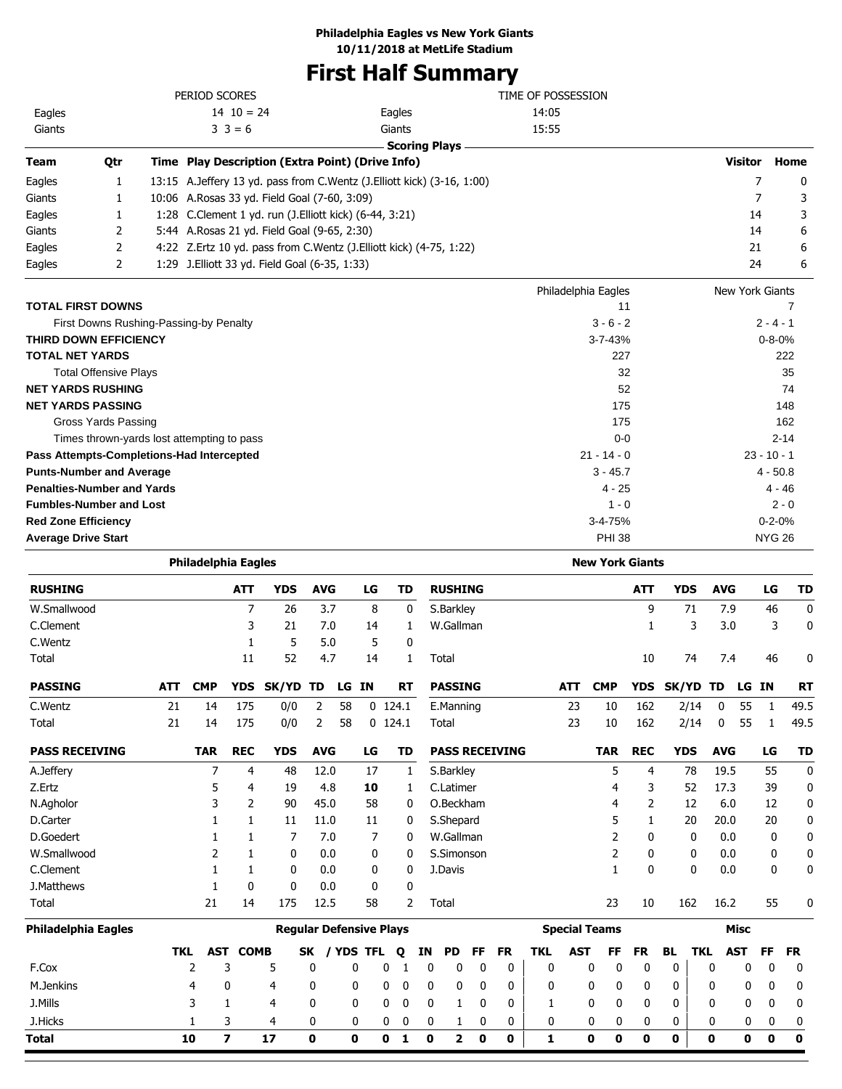## **First Half Summary**

|        |     | PERIOD SCORES                                          |                                                                           | TIME OF POSSESSION         |                 |              |
|--------|-----|--------------------------------------------------------|---------------------------------------------------------------------------|----------------------------|-----------------|--------------|
| Eagles |     | $14 \t10 = 24$                                         | Eagles                                                                    | 14:05                      |                 |              |
| Giants |     | $3 \ 3 = 6$                                            | Giants                                                                    | 15:55                      |                 |              |
|        |     |                                                        | <b>Scoring Plays</b>                                                      |                            |                 |              |
| Team   | Qtr | Time Play Description (Extra Point) (Drive Info)       |                                                                           |                            | <b>Visitor</b>  | Home         |
| Eagles |     |                                                        | 13:15 A. Jeffery 13 yd. pass from C. Wentz (J. Elliott kick) (3-16, 1:00) |                            |                 | $\mathbf{0}$ |
| Giants |     | 10:06 A.Rosas 33 yd. Field Goal (7-60, 3:09)           |                                                                           |                            |                 | 3            |
| Eagles |     | 1:28 C.Clement 1 yd. run (J.Elliott kick) (6-44, 3:21) |                                                                           |                            | 14              | 3            |
| Giants |     | 5:44 A. Rosas 21 yd. Field Goal (9-65, 2:30)           |                                                                           |                            | 14              | 6            |
| Eagles |     |                                                        | 4:22 Z.Ertz 10 yd. pass from C.Wentz (J.Elliott kick) (4-75, 1:22)        |                            | 21              | 6            |
| Eagles |     | 1:29 J. Elliott 33 yd. Field Goal (6-35, 1:33)         |                                                                           |                            | 24              | 6            |
|        |     |                                                        |                                                                           | <b>Dhiladelphia Fagles</b> | Now York Ciante |              |

|                                            | Philadelphia Eagles | New York Giants |
|--------------------------------------------|---------------------|-----------------|
| <b>TOTAL FIRST DOWNS</b>                   | 11                  |                 |
| First Downs Rushing-Passing-by Penalty     | $3 - 6 - 2$         | $2 - 4 - 1$     |
| <b>THIRD DOWN EFFICIENCY</b>               | $3 - 7 - 43%$       | $0 - 8 - 0%$    |
| <b>TOTAL NET YARDS</b>                     | 227                 | 222             |
| <b>Total Offensive Plays</b>               | 32                  | 35              |
| <b>NET YARDS RUSHING</b>                   | 52                  | 74              |
| <b>NET YARDS PASSING</b>                   | 175                 | 148             |
| Gross Yards Passing                        | 175                 | 162             |
| Times thrown-yards lost attempting to pass | $0-0$               | $2 - 14$        |
| Pass Attempts-Completions-Had Intercepted  | $21 - 14 - 0$       | $23 - 10 - 1$   |
| <b>Punts-Number and Average</b>            | $3 - 45.7$          | $4 - 50.8$      |
| <b>Penalties-Number and Yards</b>          | $4 - 25$            | $4 - 46$        |
| <b>Fumbles-Number and Lost</b>             | $1 - 0$             | $2 - 0$         |
| <b>Red Zone Efficiency</b>                 | $3 - 4 - 75%$       | $0 - 2 - 0%$    |
| <b>Average Drive Start</b>                 | <b>PHI 38</b>       | <b>NYG 26</b>   |

|                            |            | <b>Philadelphia Eagles</b> |                         |                                |            |           |    |           |             |             |                         |          |                       |            |                      |            |              | <b>New York Giants</b> |            |              |            |             |    |           |
|----------------------------|------------|----------------------------|-------------------------|--------------------------------|------------|-----------|----|-----------|-------------|-------------|-------------------------|----------|-----------------------|------------|----------------------|------------|--------------|------------------------|------------|--------------|------------|-------------|----|-----------|
| <b>RUSHING</b>             |            |                            | <b>ATT</b>              | <b>YDS</b>                     | <b>AVG</b> |           | LG |           | <b>TD</b>   |             | <b>RUSHING</b>          |          |                       |            |                      |            |              | <b>ATT</b>             | <b>YDS</b> |              | <b>AVG</b> |             | LG | <b>TD</b> |
| W.Smallwood                |            |                            | $\overline{7}$          | 26                             | 3.7        |           | 8  |           | 0           |             | S.Barkley               |          |                       |            |                      |            |              | 9                      |            | 71           | 7.9        |             | 46 | 0         |
| C.Clement                  |            |                            | 3                       | 21                             | 7.0        |           | 14 |           | 1           |             | W.Gallman               |          |                       |            |                      |            |              | 1                      |            | 3            | 3.0        |             | 3  | 0         |
| C.Wentz                    |            |                            | 1                       | 5                              | 5.0        |           | 5  |           | 0           |             |                         |          |                       |            |                      |            |              |                        |            |              |            |             |    |           |
| Total                      |            |                            | 11                      | 52                             | 4.7        |           | 14 |           | 1           |             | Total                   |          |                       |            |                      |            |              | 10                     |            | 74           | 7.4        |             | 46 | 0         |
| <b>PASSING</b>             | <b>ATT</b> | <b>CMP</b>                 | <b>YDS</b>              | SK/YD                          | TD         | LG IN     |    |           | <b>RT</b>   |             | <b>PASSING</b>          |          |                       |            | <b>ATT</b>           | <b>CMP</b> |              | <b>YDS</b>             | SK/YD TD   |              |            | LG IN       |    | <b>RT</b> |
| C.Wentz                    | 21         | 14                         | 175                     | 0/0                            | 2          | 58        |    | $0$ 124.1 |             |             | E.Manning               |          |                       |            | 23                   |            | 10           | 162                    |            | 2/14         | 0          | 55          | 1  | 49.5      |
| Total                      | 21         | 14                         | 175                     | 0/0                            | 2          | 58        |    | $0$ 124.1 |             |             | Total                   |          |                       |            | 23                   |            | 10           | 162                    |            | 2/14         | 0          | 55          | 1  | 49.5      |
| <b>PASS RECEIVING</b>      |            | <b>TAR</b>                 | <b>REC</b>              | <b>YDS</b>                     | <b>AVG</b> |           | LG |           | <b>TD</b>   |             |                         |          | <b>PASS RECEIVING</b> |            |                      |            | <b>TAR</b>   | <b>REC</b>             | <b>YDS</b> |              | <b>AVG</b> |             | LG | <b>TD</b> |
| A.Jeffery                  |            | 7                          | 4                       | 48                             | 12.0       |           | 17 |           | 1           |             | S.Barkley               |          |                       |            |                      |            | 5            | 4                      |            | 78           | 19.5       |             | 55 | 0         |
| Z.Ertz                     |            | 5                          | 4                       | 19                             | 4.8        |           | 10 |           | 1           |             | C.Latimer               |          |                       |            |                      |            | 4            | 3                      |            | 52           | 17.3       |             | 39 | 0         |
| N.Agholor                  |            | 3                          | 2                       | 90                             | 45.0       |           | 58 |           | 0           |             | O.Beckham               |          |                       |            |                      |            | 4            | 2                      |            | 12           | 6.0        |             | 12 | 0         |
| D.Carter                   |            |                            | 1                       | 11                             | 11.0       |           | 11 |           | 0           |             | S.Shepard               |          |                       |            |                      |            | 5            | 1                      |            | 20           | 20.0       |             | 20 | 0         |
| D.Goedert                  |            |                            | 1                       | 7                              | 7.0        |           | 7  |           | 0           |             | W.Gallman               |          |                       |            |                      |            | 2            | 0                      |            | 0            | 0.0        |             | 0  | 0         |
| W.Smallwood                |            | 2                          |                         | 0                              | 0.0        |           | 0  |           | 0           |             | S.Simonson              |          |                       |            |                      |            | 2            | 0                      |            | 0            | 0.0        |             | 0  | 0         |
| C.Clement                  |            |                            | 1                       | 0                              | 0.0        |           | 0  |           | 0           |             | J.Davis                 |          |                       |            |                      |            | $\mathbf{1}$ | 0                      |            | $\mathbf{0}$ | 0.0        |             | 0  | 0         |
| J.Matthews                 |            |                            | 0                       | 0                              | 0.0        |           | 0  |           | $\mathbf 0$ |             |                         |          |                       |            |                      |            |              |                        |            |              |            |             |    |           |
| Total                      |            | 21                         | 14                      | 175                            | 12.5       |           | 58 |           | 2           |             | Total                   |          |                       |            |                      |            | 23           | 10                     | 162        |              | 16.2       |             | 55 | 0         |
| <b>Philadelphia Eagles</b> |            |                            |                         | <b>Regular Defensive Plays</b> |            |           |    |           |             |             |                         |          |                       |            | <b>Special Teams</b> |            |              |                        |            |              |            | <b>Misc</b> |    |           |
|                            | <b>TKL</b> |                            | <b>AST COMB</b>         |                                | <b>SK</b>  | / YDS TFL |    | Q         |             | ΙN          | <b>PD</b>               | FF       | <b>FR</b>             | <b>TKL</b> | <b>AST</b>           |            | FF           | <b>FR</b>              | <b>BL</b>  | <b>TKL</b>   |            | <b>AST</b>  | FF | <b>FR</b> |
| F.Cox                      |            | $\overline{2}$             | 3                       | 5                              | 0          | 0         |    | 0         | 1           | 0           | 0                       | 0        | 0                     |            | $\mathbf 0$          | 0          | 0            | 0                      | 0          |              | 0          | 0           | 0  | 0         |
| M.Jenkins                  |            | 4                          | 0                       | 4                              | 0          |           | 0  | 0         | 0           | 0           | 0                       | 0        | 0                     |            | 0                    | 0          | 0            | 0                      | 0          |              | 0          | 0           | 0  | 0         |
| J.Mills                    |            | 3                          | 1                       | 4                              | 0          |           | 0  | 0         | 0           | 0           | 1                       | 0        | 0                     |            | 1                    | 0          | 0            | 0                      | 0          |              | 0          | 0           | 0  | 0         |
| J.Hicks                    |            |                            | 3                       | 4                              | 0          |           | 0  | 0         | 0           | 0           | 1                       | 0        | 0                     |            | 0                    | 0          | 0            | 0                      | 0          |              | 0          | 0           | 0  | 0         |
| <b>Total</b>               |            | 10                         | $\overline{\mathbf{z}}$ | 17                             | 0          | 0         |    | 0         | 1           | $\mathbf 0$ | $\overline{\mathbf{2}}$ | $\bf{0}$ | 0                     |            | 1                    | O          | 0            | 0                      | 0          |              | 0          | 0           | 0  | 0         |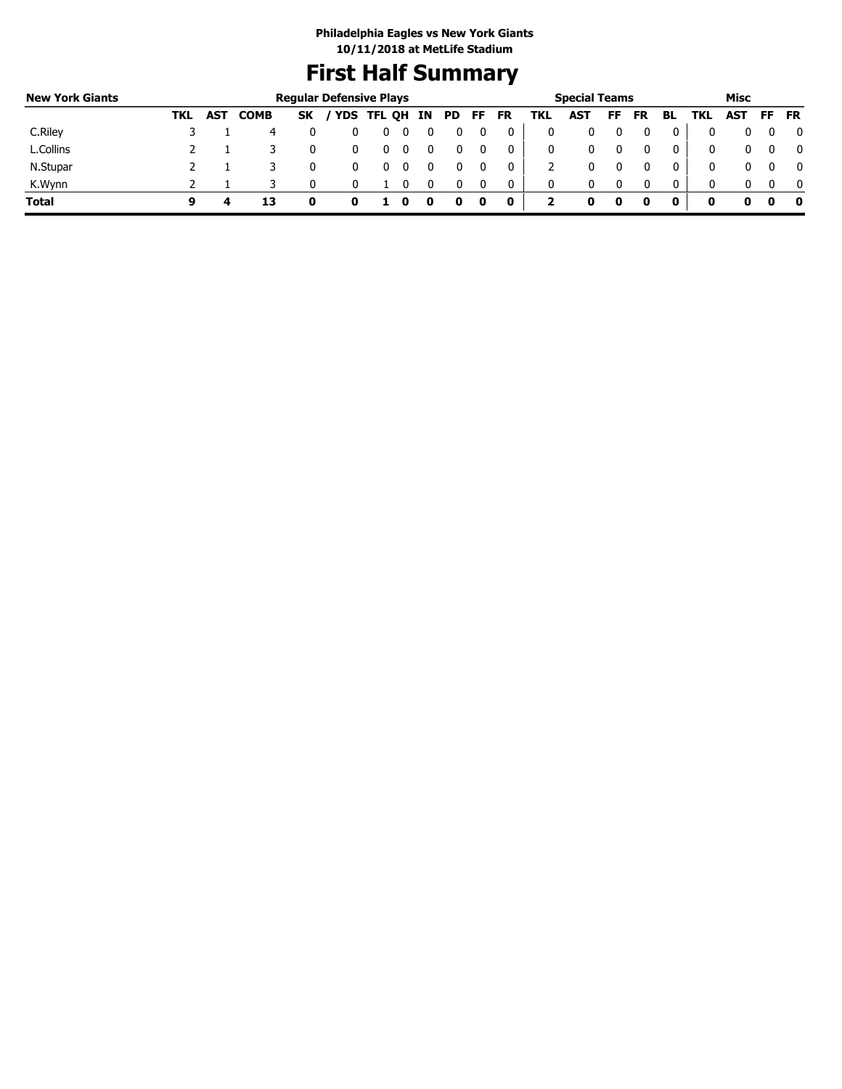# **First Half Summary**

| <b>New York Giants</b> |     |            |             |           | <b>Regular Defensive Plays</b> |               |  |           |     |           |     | <b>Special Teams</b> |     |           |    |            | Misc       |          |           |
|------------------------|-----|------------|-------------|-----------|--------------------------------|---------------|--|-----------|-----|-----------|-----|----------------------|-----|-----------|----|------------|------------|----------|-----------|
|                        | TKL | <b>AST</b> | <b>COMB</b> | <b>SK</b> |                                | YDS TFL QH IN |  | <b>PD</b> | FF. | <b>FR</b> | TKL | AST                  | FF. | <b>FR</b> | BL | <b>TKL</b> | <b>AST</b> | FF       | <b>FR</b> |
| C.Riley                |     |            |             |           |                                | υ             |  |           |     |           | 0   |                      |     |           |    |            | 0          |          |           |
| L.Collins              |     |            |             |           |                                | 0             |  |           |     |           | 0   |                      |     |           | 0  |            | 0          |          |           |
| N.Stupar               |     |            |             |           |                                |               |  |           |     |           |     |                      |     |           |    | 0          | 0          |          |           |
| K.Wynn                 |     |            |             |           |                                |               |  |           |     | 0         | 0   | 0                    |     |           | 0  | 0          | 0          | $\Omega$ |           |
| <b>Total</b>           | a   |            | 13          |           | o                              |               |  |           | 0   | $\bf o$   |     |                      |     |           | 0  | 0          | 0          | o        |           |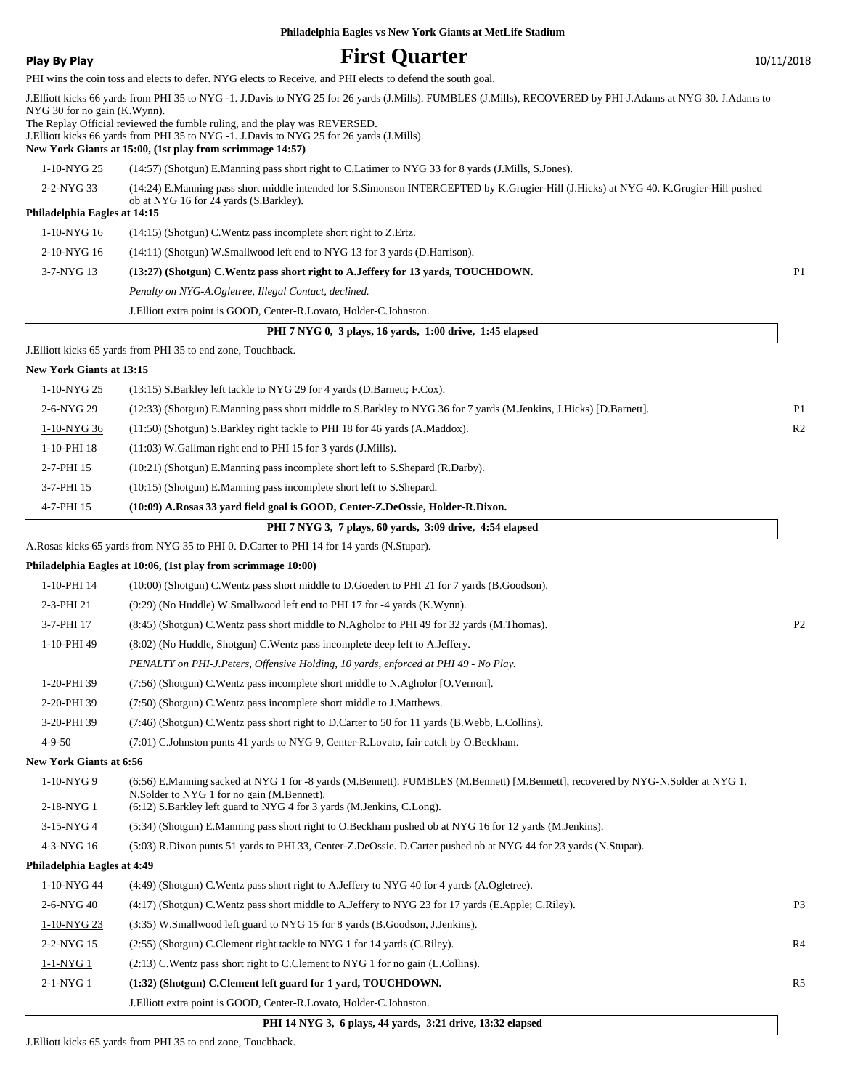|                                 | Philadelphia Eagles vs New York Giants at MetLife Stadium                                                                                                                                                                                                                                                                                                                                                    |                |
|---------------------------------|--------------------------------------------------------------------------------------------------------------------------------------------------------------------------------------------------------------------------------------------------------------------------------------------------------------------------------------------------------------------------------------------------------------|----------------|
| <b>Play By Play</b>             | <b>First Quarter</b>                                                                                                                                                                                                                                                                                                                                                                                         | 10/11/2018     |
|                                 | PHI wins the coin toss and elects to defer. NYG elects to Receive, and PHI elects to defend the south goal.                                                                                                                                                                                                                                                                                                  |                |
| NYG 30 for no gain (K.Wynn).    | J. Elliott kicks 66 yards from PHI 35 to NYG -1. J. Davis to NYG 25 for 26 yards (J. Mills). FUMBLES (J. Mills), RECOVERED by PHI-J. Adams at NYG 30. J. Adams to<br>The Replay Official reviewed the fumble ruling, and the play was REVERSED.<br>J. Elliott kicks 66 yards from PHI 35 to NYG -1. J. Davis to NYG 25 for 26 yards (J. Mills).<br>New York Giants at 15:00, (1st play from scrimmage 14:57) |                |
| 1-10-NYG 25                     | (14:57) (Shotgun) E.Manning pass short right to C.Latimer to NYG 33 for 8 yards (J.Mills, S.Jones).                                                                                                                                                                                                                                                                                                          |                |
| 2-2-NYG 33                      | (14:24) E.Manning pass short middle intended for S.Simonson INTERCEPTED by K.Grugier-Hill (J.Hicks) at NYG 40. K.Grugier-Hill pushed                                                                                                                                                                                                                                                                         |                |
| Philadelphia Eagles at 14:15    | ob at NYG 16 for 24 yards (S.Barkley).                                                                                                                                                                                                                                                                                                                                                                       |                |
| 1-10-NYG 16                     | $(14:15)$ (Shotgun) C. Wentz pass incomplete short right to Z. Ertz.                                                                                                                                                                                                                                                                                                                                         |                |
| 2-10-NYG 16                     | (14:11) (Shotgun) W.Smallwood left end to NYG 13 for 3 yards (D.Harrison).                                                                                                                                                                                                                                                                                                                                   |                |
| 3-7-NYG 13                      | (13:27) (Shotgun) C.Wentz pass short right to A.Jeffery for 13 yards, TOUCHDOWN.                                                                                                                                                                                                                                                                                                                             | P1             |
|                                 | Penalty on NYG-A.Ogletree, Illegal Contact, declined.                                                                                                                                                                                                                                                                                                                                                        |                |
|                                 | J. Elliott extra point is GOOD, Center-R. Lovato, Holder-C. Johnston.                                                                                                                                                                                                                                                                                                                                        |                |
|                                 | PHI 7 NYG 0, 3 plays, 16 yards, 1:00 drive, 1:45 elapsed                                                                                                                                                                                                                                                                                                                                                     |                |
|                                 | J. Elliott kicks 65 yards from PHI 35 to end zone, Touchback.                                                                                                                                                                                                                                                                                                                                                |                |
| <b>New York Giants at 13:15</b> |                                                                                                                                                                                                                                                                                                                                                                                                              |                |
| 1-10-NYG 25                     | (13:15) S. Barkley left tackle to NYG 29 for 4 yards (D. Barnett; F. Cox).                                                                                                                                                                                                                                                                                                                                   |                |
| 2-6-NYG 29                      | (12:33) (Shotgun) E.Manning pass short middle to S.Barkley to NYG 36 for 7 yards (M.Jenkins, J.Hicks) [D.Barnett].                                                                                                                                                                                                                                                                                           | P1             |
| 1-10-NYG 36                     | (11:50) (Shotgun) S. Barkley right tackle to PHI 18 for 46 yards (A. Maddox).                                                                                                                                                                                                                                                                                                                                | R <sub>2</sub> |
| 1-10-PHI 18                     | (11:03) W.Gallman right end to PHI 15 for 3 yards (J.Mills).                                                                                                                                                                                                                                                                                                                                                 |                |
| 2-7-PHI 15                      | (10:21) (Shotgun) E.Manning pass incomplete short left to S.Shepard (R.Darby).                                                                                                                                                                                                                                                                                                                               |                |
| 3-7-PHI 15                      | $(10:15)$ (Shotgun) E.Manning pass incomplete short left to S.Shepard.                                                                                                                                                                                                                                                                                                                                       |                |
| 4-7-PHI 15                      | (10:09) A.Rosas 33 yard field goal is GOOD, Center-Z.DeOssie, Holder-R.Dixon.                                                                                                                                                                                                                                                                                                                                |                |
|                                 | PHI 7 NYG 3, 7 plays, 60 yards, 3:09 drive, 4:54 elapsed                                                                                                                                                                                                                                                                                                                                                     |                |
|                                 | A.Rosas kicks 65 yards from NYG 35 to PHI 0. D.Carter to PHI 14 for 14 yards (N.Stupar).                                                                                                                                                                                                                                                                                                                     |                |
|                                 | Philadelphia Eagles at 10:06, (1st play from scrimmage 10:00)                                                                                                                                                                                                                                                                                                                                                |                |
| 1-10-PHI 14                     | (10:00) (Shotgun) C.Wentz pass short middle to D.Goedert to PHI 21 for 7 yards (B.Goodson).                                                                                                                                                                                                                                                                                                                  |                |
| 2-3-PHI 21                      | $(9:29)$ (No Huddle) W.Smallwood left end to PHI 17 for -4 yards (K.Wynn).                                                                                                                                                                                                                                                                                                                                   |                |
| 3-7-PHI 17                      | (8:45) (Shotgun) C. Wentz pass short middle to N. Agholor to PHI 49 for 32 yards (M. Thomas).                                                                                                                                                                                                                                                                                                                | P <sub>2</sub> |
| 1-10-PHI 49                     | (8.02) (No Huddle, Shotgun) C. Wentz pass incomplete deep left to A. Jeffery.                                                                                                                                                                                                                                                                                                                                |                |
|                                 | PENALTY on PHI-J.Peters, Offensive Holding, 10 yards, enforced at PHI 49 - No Play.                                                                                                                                                                                                                                                                                                                          |                |
| 1-20-PHI 39                     | (7:56) (Shotgun) C.Wentz pass incomplete short middle to N.Agholor [O.Vernon].                                                                                                                                                                                                                                                                                                                               |                |
| 2-20-PHI 39                     | (7:50) (Shotgun) C. Wentz pass incomplete short middle to J. Matthews.                                                                                                                                                                                                                                                                                                                                       |                |
| 3-20-PHI 39                     | (7:46) (Shotgun) C. Wentz pass short right to D. Carter to 50 for 11 yards (B. Webb, L. Collins).                                                                                                                                                                                                                                                                                                            |                |
| $4 - 9 - 50$                    | (7:01) C.Johnston punts 41 yards to NYG 9, Center-R.Lovato, fair catch by O.Beckham.                                                                                                                                                                                                                                                                                                                         |                |
| <b>New York Giants at 6:56</b>  |                                                                                                                                                                                                                                                                                                                                                                                                              |                |
| $1-10-NYG$ 9<br>2-18-NYG 1      | (6:56) E.Manning sacked at NYG 1 for -8 yards (M.Bennett). FUMBLES (M.Bennett) [M.Bennett], recovered by NYG-N.Solder at NYG 1.<br>N.Solder to NYG 1 for no gain (M.Bennett).<br>(6:12) S.Barkley left guard to NYG 4 for 3 yards (M.Jenkins, C.Long).                                                                                                                                                       |                |
| 3-15-NYG 4                      | (5:34) (Shotgun) E.Manning pass short right to O.Beckham pushed ob at NYG 16 for 12 yards (M.Jenkins).                                                                                                                                                                                                                                                                                                       |                |

4-3-NYG 16 (5:03) R.Dixon punts 51 yards to PHI 33, Center-Z.DeOssie. D.Carter pushed ob at NYG 44 for 23 yards (N.Stupar).

#### **Philadelphia Eagles at 4:49**

| г ппаченина баріез ат 4.49 |                                                                                                    |                |
|----------------------------|----------------------------------------------------------------------------------------------------|----------------|
| 1-10-NYG 44                | (4:49) (Shotgun) C. Wentz pass short right to A. Jeffery to NYG 40 for 4 yards (A. Ogletree).      |                |
| 2-6-NYG 40                 | (4:17) (Shotgun) C.Wentz pass short middle to A.Jeffery to NYG 23 for 17 yards (E.Apple: C.Riley). | P <sub>3</sub> |
| 1-10-NYG 23                | (3:35) W.Smallwood left guard to NYG 15 for 8 yards (B.Goodson, J.Jenkins).                        |                |
| $2-2-NYG15$                | $(2:55)$ (Shotgun) C.Clement right tackle to NYG 1 for 14 yards (C.Riley).                         | R <sub>4</sub> |
| $1-1-NYG1$                 | $(2.13)$ C. Wentz pass short right to C. Clement to NYG 1 for no gain (L. Collins).                |                |
| $2-1-NYG1$                 | (1:32) (Shotgun) C.Clement left guard for 1 yard, TOUCHDOWN.                                       | R <sub>5</sub> |
|                            | J. Elliott extra point is GOOD, Center-R. Lovato, Holder-C. Johnston.                              |                |

 **PHI 14 NYG 3, 6 plays, 44 yards, 3:21 drive, 13:32 elapsed**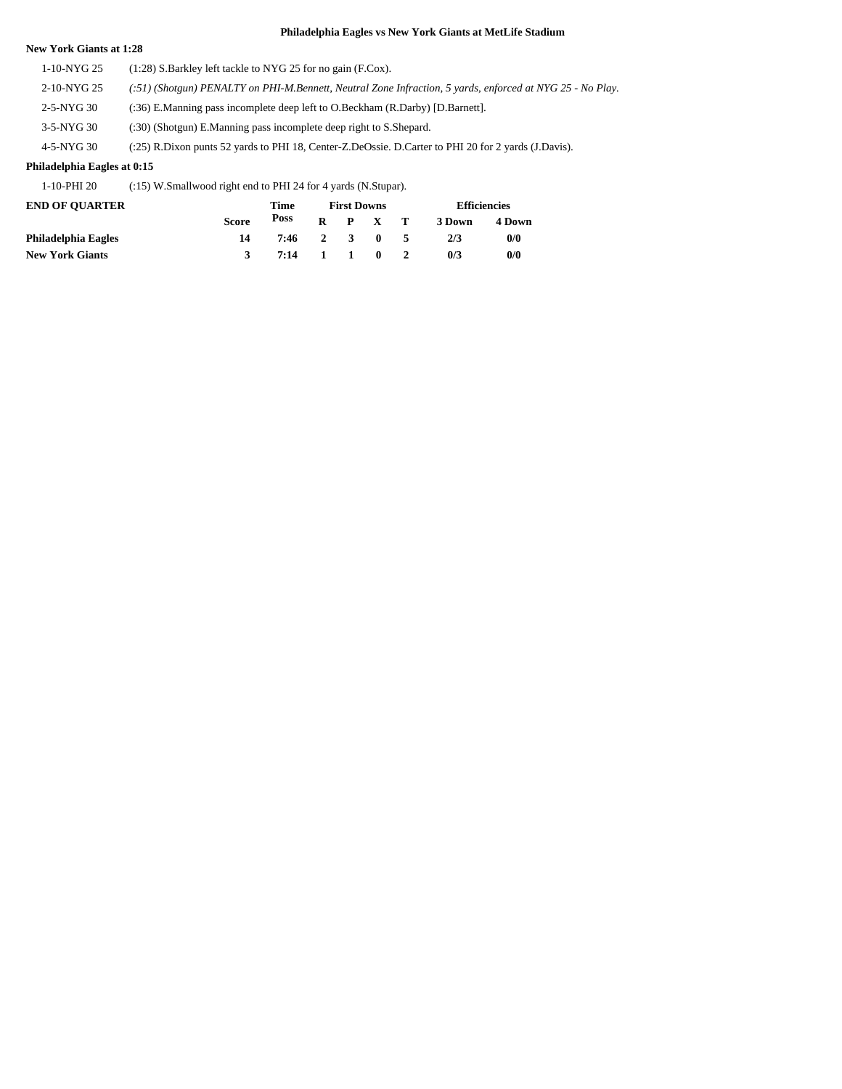#### **New York Giants at 1:28**

1-10-NYG 25 (1:28) S.Barkley left tackle to NYG 25 for no gain (F.Cox). 2-10-NYG 25 *(:51) (Shotgun) PENALTY on PHI-M.Bennett, Neutral Zone Infraction, 5 yards, enforced at NYG 25 - No Play.* 2-5-NYG 30 (:36) E.Manning pass incomplete deep left to O.Beckham (R.Darby) [D.Barnett]. 3-5-NYG 30 (:30) (Shotgun) E.Manning pass incomplete deep right to S.Shepard. 4-5-NYG 30 (:25) R.Dixon punts 52 yards to PHI 18, Center-Z.DeOssie. D.Carter to PHI 20 for 2 yards (J.Davis).

#### **Philadelphia Eagles at 0:15**

1-10-PHI 20 (:15) W.Smallwood right end to PHI 24 for 4 yards (N.Stupar).

| <b>END OF OUARTER</b>  |              | Time         | <b>First Downs</b> |                 | <b>Efficiencies</b> |        |  |
|------------------------|--------------|--------------|--------------------|-----------------|---------------------|--------|--|
|                        | <b>Score</b> | Poss         |                    | $R$ $P$ $X$ $T$ | 3 Down              | 4 Down |  |
| Philadelphia Eagles    |              | 7:46 2 3 0 5 |                    |                 | 2/3                 | 0/0    |  |
| <b>New York Giants</b> |              | 7:14 1 1 0 2 |                    |                 | 0/3                 | 0/0    |  |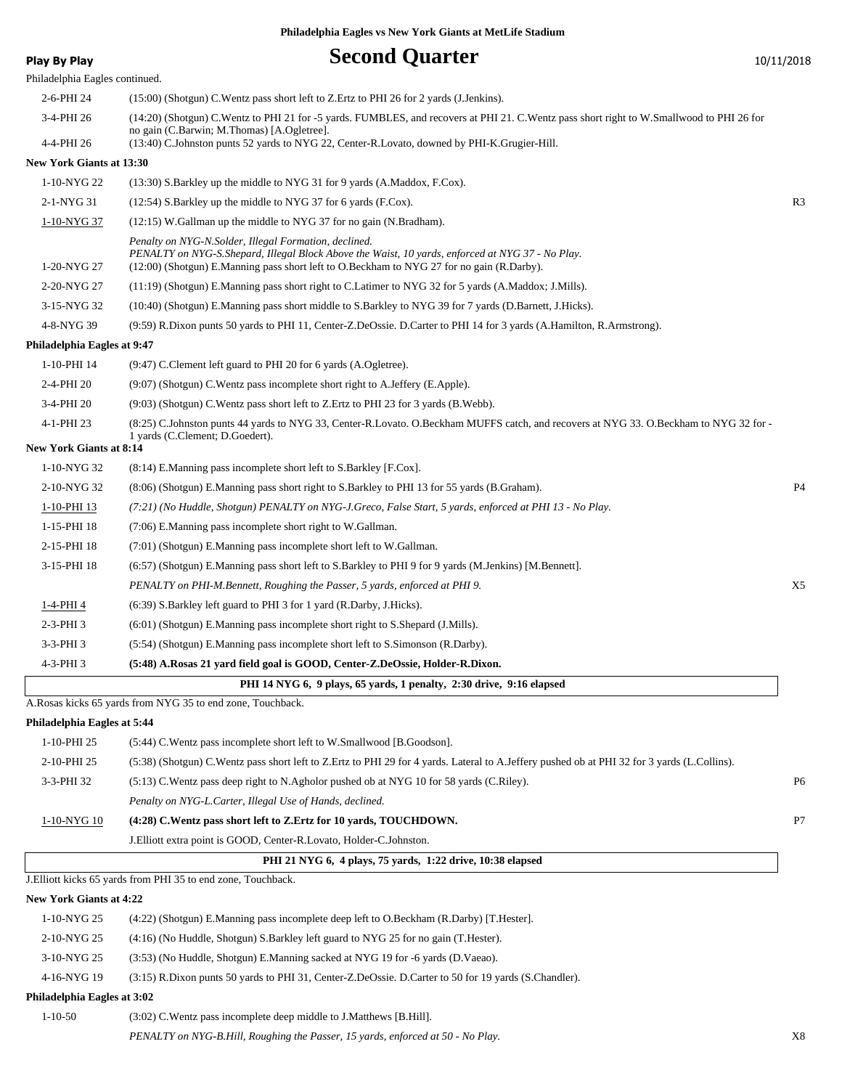| Play By Play                   | <b>Second Quarter</b>                                                                                                                                                                                                                                   | 10/11/2018     |
|--------------------------------|---------------------------------------------------------------------------------------------------------------------------------------------------------------------------------------------------------------------------------------------------------|----------------|
| Philadelphia Eagles continued. |                                                                                                                                                                                                                                                         |                |
| 2-6-PHI 24                     | (15:00) (Shotgun) C. Wentz pass short left to Z. Ertz to PHI 26 for 2 yards (J. Jenkins).                                                                                                                                                               |                |
| 3-4-PHI 26                     | (14:20) (Shotgun) C.Wentz to PHI 21 for -5 yards. FUMBLES, and recovers at PHI 21. C.Wentz pass short right to W.Smallwood to PHI 26 for<br>no gain (C.Barwin; M.Thomas) [A.Ogletree].                                                                  |                |
| 4-4-PHI 26                     | (13:40) C.Johnston punts 52 yards to NYG 22, Center-R.Lovato, downed by PHI-K.Grugier-Hill.                                                                                                                                                             |                |
| New York Giants at 13:30       |                                                                                                                                                                                                                                                         |                |
| 1-10-NYG 22                    | (13:30) S. Barkley up the middle to NYG 31 for 9 yards (A. Maddox, F.Cox).                                                                                                                                                                              |                |
| 2-1-NYG 31                     | $(12:54)$ S.Barkley up the middle to NYG 37 for 6 yards (F.Cox).                                                                                                                                                                                        | R3             |
| 1-10-NYG 37                    | $(12:15)$ W.Gallman up the middle to NYG 37 for no gain (N.Bradham).                                                                                                                                                                                    |                |
| 1-20-NYG 27                    | Penalty on NYG-N.Solder, Illegal Formation, declined.<br>PENALTY on NYG-S. Shepard, Illegal Block Above the Waist, 10 yards, enforced at NYG 37 - No Play.<br>(12:00) (Shotgun) E.Manning pass short left to O.Beckham to NYG 27 for no gain (R.Darby). |                |
| 2-20-NYG 27                    | (11:19) (Shotgun) E.Manning pass short right to C.Latimer to NYG 32 for 5 yards (A.Maddox; J.Mills).                                                                                                                                                    |                |
| 3-15-NYG 32                    | (10:40) (Shotgun) E.Manning pass short middle to S.Barkley to NYG 39 for 7 yards (D.Barnett, J.Hicks).                                                                                                                                                  |                |
| 4-8-NYG 39                     | (9:59) R.Dixon punts 50 yards to PHI 11, Center-Z.DeOssie. D.Carter to PHI 14 for 3 yards (A.Hamilton, R.Armstrong).                                                                                                                                    |                |
| Philadelphia Eagles at 9:47    |                                                                                                                                                                                                                                                         |                |
| 1-10-PHI 14                    | (9:47) C.Clement left guard to PHI 20 for 6 yards (A.Ogletree).                                                                                                                                                                                         |                |
| 2-4-PHI 20                     | (9:07) (Shotgun) C.Wentz pass incomplete short right to A.Jeffery (E.Apple).                                                                                                                                                                            |                |
| 3-4-PHI 20                     | (9:03) (Shotgun) C. Wentz pass short left to Z. Ertz to PHI 23 for 3 yards (B. Webb).                                                                                                                                                                   |                |
| 4-1-PHI 23                     | (8:25) C.Johnston punts 44 yards to NYG 33, Center-R.Lovato. O.Beckham MUFFS catch, and recovers at NYG 33. O.Beckham to NYG 32 for -<br>1 yards (C.Clement; D.Goedert).                                                                                |                |
| <b>New York Giants at 8:14</b> |                                                                                                                                                                                                                                                         |                |
| 1-10-NYG 32                    | $(8:14)$ E.Manning pass incomplete short left to S.Barkley [F.Cox].                                                                                                                                                                                     |                |
| 2-10-NYG 32                    | (8.06) (Shotgun) E.Manning pass short right to S.Barkley to PHI 13 for 55 yards (B.Graham).                                                                                                                                                             | P <sub>4</sub> |
| 1-10-PHI 13                    | (7:21) (No Huddle, Shotgun) PENALTY on NYG-J.Greco, False Start, 5 yards, enforced at PHI 13 - No Play.                                                                                                                                                 |                |
| 1-15-PHI 18                    | (7:06) E.Manning pass incomplete short right to W.Gallman.                                                                                                                                                                                              |                |
| 2-15-PHI 18                    | (7:01) (Shotgun) E.Manning pass incomplete short left to W.Gallman.                                                                                                                                                                                     |                |
| 3-15-PHI 18                    | (6:57) (Shotgun) E.Manning pass short left to S.Barkley to PHI 9 for 9 yards (M.Jenkins) [M.Bennett].                                                                                                                                                   |                |
|                                | PENALTY on PHI-M.Bennett, Roughing the Passer, 5 yards, enforced at PHI 9.                                                                                                                                                                              | X5             |
| 1-4-PHI 4                      | (6:39) S.Barkley left guard to PHI 3 for 1 yard (R.Darby, J.Hicks).                                                                                                                                                                                     |                |
| $2-3-PHI$ 3                    | $(6.01)$ (Shotgun) E.Manning pass incomplete short right to S.Shepard (J.Mills).                                                                                                                                                                        |                |
| $3-3-PHI$ 3                    | (5:54) (Shotgun) E.Manning pass incomplete short left to S.Simonson (R.Darby).                                                                                                                                                                          |                |
| 4-3-PHI 3                      | (5:48) A.Rosas 21 yard field goal is GOOD, Center-Z.DeOssie, Holder-R.Dixon.                                                                                                                                                                            |                |
|                                | PHI 14 NYG 6, 9 plays, 65 yards, 1 penalty, 2:30 drive, 9:16 elapsed<br>A.Rosas kicks 65 yards from NYG 35 to end zone, Touchback.                                                                                                                      |                |
| Philadelphia Eagles at 5:44    |                                                                                                                                                                                                                                                         |                |
| 1-10-PHI 25                    | (5:44) C. Wentz pass incomplete short left to W. Smallwood [B. Goodson].                                                                                                                                                                                |                |
| 2-10-PHI 25                    | (5:38) (Shotgun) C.Wentz pass short left to Z.Ertz to PHI 29 for 4 yards. Lateral to A.Jeffery pushed ob at PHI 32 for 3 yards (L.Collins).                                                                                                             |                |
| 3-3-PHI 32                     | (5:13) C. Wentz pass deep right to N. Agholor pushed ob at NYG 10 for 58 yards (C. Riley).                                                                                                                                                              | P6             |
|                                | Penalty on NYG-L.Carter, Illegal Use of Hands, declined.                                                                                                                                                                                                |                |
| 1-10-NYG 10                    | (4:28) C.Wentz pass short left to Z.Ertz for 10 yards, TOUCHDOWN.                                                                                                                                                                                       | P7             |
|                                | J. Elliott extra point is GOOD, Center-R. Lovato, Holder-C. Johnston.                                                                                                                                                                                   |                |
|                                | PHI 21 NYG 6, 4 plays, 75 yards, 1:22 drive, 10:38 elapsed                                                                                                                                                                                              |                |
|                                | J. Elliott kicks 65 yards from PHI 35 to end zone, Touchback.                                                                                                                                                                                           |                |
| <b>New York Giants at 4:22</b> |                                                                                                                                                                                                                                                         |                |
| 1-10-NYG 25                    | (4:22) (Shotgun) E.Manning pass incomplete deep left to O.Beckham (R.Darby) [T.Hester].                                                                                                                                                                 |                |
| 2-10-NYG 25                    | (4:16) (No Huddle, Shotgun) S.Barkley left guard to NYG 25 for no gain (T.Hester).                                                                                                                                                                      |                |
| 3-10-NYG 25                    | (3:53) (No Huddle, Shotgun) E.Manning sacked at NYG 19 for -6 yards (D.Vaeao).                                                                                                                                                                          |                |
| 4-16-NYG 19                    | (3:15) R.Dixon punts 50 yards to PHI 31, Center-Z.DeOssie. D.Carter to 50 for 19 yards (S.Chandler).                                                                                                                                                    |                |
| Philadelphia Eagles at 3:02    |                                                                                                                                                                                                                                                         |                |
| $1 - 10 - 50$                  | (3:02) C. Wentz pass incomplete deep middle to J. Matthews [B. Hill].                                                                                                                                                                                   |                |
|                                | PENALTY on NYG-B.Hill, Roughing the Passer, 15 yards, enforced at 50 - No Play.                                                                                                                                                                         | X8             |
|                                |                                                                                                                                                                                                                                                         |                |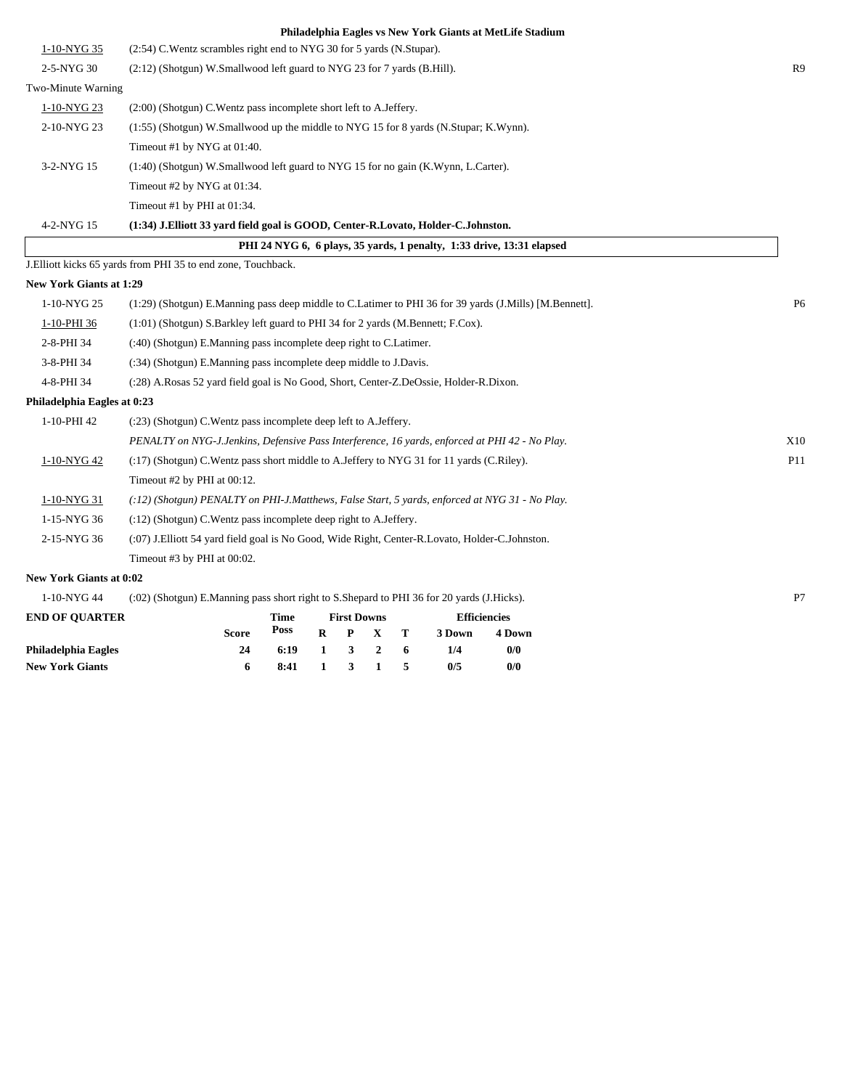|                                | Philadelphia Eagles vs New York Giants at MetLife Stadium                                                  |                |
|--------------------------------|------------------------------------------------------------------------------------------------------------|----------------|
| 1-10-NYG 35                    | (2:54) C.Wentz scrambles right end to NYG 30 for 5 yards (N.Stupar).                                       |                |
| 2-5-NYG 30                     | (2:12) (Shotgun) W.Smallwood left guard to NYG 23 for 7 yards (B.Hill).                                    | R9             |
| Two-Minute Warning             |                                                                                                            |                |
| 1-10-NYG 23                    | (2:00) (Shotgun) C. Wentz pass incomplete short left to A. Jeffery.                                        |                |
| 2-10-NYG 23                    | (1:55) (Shotgun) W.Smallwood up the middle to NYG 15 for 8 yards (N.Stupar; K.Wynn).                       |                |
|                                | Timeout #1 by NYG at 01:40.                                                                                |                |
| 3-2-NYG 15                     | (1:40) (Shotgun) W.Smallwood left guard to NYG 15 for no gain (K.Wynn, L.Carter).                          |                |
|                                | Timeout #2 by NYG at 01:34.                                                                                |                |
|                                | Timeout #1 by PHI at $01:34$ .                                                                             |                |
| 4-2-NYG 15                     | (1:34) J.Elliott 33 yard field goal is GOOD, Center-R.Lovato, Holder-C.Johnston.                           |                |
|                                | PHI 24 NYG 6, 6 plays, 35 yards, 1 penalty, 1:33 drive, 13:31 elapsed                                      |                |
|                                | J. Elliott kicks 65 yards from PHI 35 to end zone, Touchback.                                              |                |
| <b>New York Giants at 1:29</b> |                                                                                                            |                |
| 1-10-NYG 25                    | (1:29) (Shotgun) E.Manning pass deep middle to C.Latimer to PHI 36 for 39 yards (J.Mills) [M.Bennett].     | P <sub>6</sub> |
| 1-10-PHI 36                    | (1:01) (Shotgun) S.Barkley left guard to PHI 34 for 2 yards (M.Bennett; F.Cox).                            |                |
| 2-8-PHI 34                     | (:40) (Shotgun) E.Manning pass incomplete deep right to C.Latimer.                                         |                |
| 3-8-PHI 34                     | (:34) (Shotgun) E.Manning pass incomplete deep middle to J.Davis.                                          |                |
| 4-8-PHI 34                     | (:28) A.Rosas 52 yard field goal is No Good, Short, Center-Z.DeOssie, Holder-R.Dixon.                      |                |
| Philadelphia Eagles at 0:23    |                                                                                                            |                |
| 1-10-PHI 42                    | (:23) (Shotgun) C. Wentz pass incomplete deep left to A. Jeffery.                                          |                |
|                                | PENALTY on NYG-J.Jenkins, Defensive Pass Interference, 16 yards, enforced at PHI 42 - No Play.             | X10            |
| 1-10-NYG 42                    | (:17) (Shotgun) C.Wentz pass short middle to A.Jeffery to NYG 31 for 11 yards (C.Riley).                   | P11            |
|                                | Timeout #2 by PHI at 00:12.                                                                                |                |
| 1-10-NYG 31                    | (:12) (Shotgun) PENALTY on PHI-J.Matthews, False Start, 5 yards, enforced at NYG 31 - No Play.             |                |
| 1-15-NYG 36                    | (:12) (Shotgun) C. Wentz pass incomplete deep right to A. Jeffery.                                         |                |
| 2-15-NYG 36                    | (:07) J. Elliott 54 yard field goal is No Good, Wide Right, Center-R. Lovato, Holder-C. Johnston.          |                |
|                                | Timeout #3 by PHI at 00:02.                                                                                |                |
| New York Giants at 0:02        |                                                                                                            |                |
| 1-10-NYG 44                    | (:02) (Shotgun) E.Manning pass short right to S.Shepard to PHI 36 for 20 yards (J.Hicks).                  | P7             |
| <b>END OF QUARTER</b>          | <b>First Downs</b><br><b>Efficiencies</b><br>Time<br>Poss<br>т<br>R<br>P<br>3 Down<br>Score<br>X<br>4 Down |                |

**Philadelphia Eagles 24 6:19 1 3 2 6 1/4 0/0 New York Giants 6 8:41 1 3 1 5 0/5 0/0**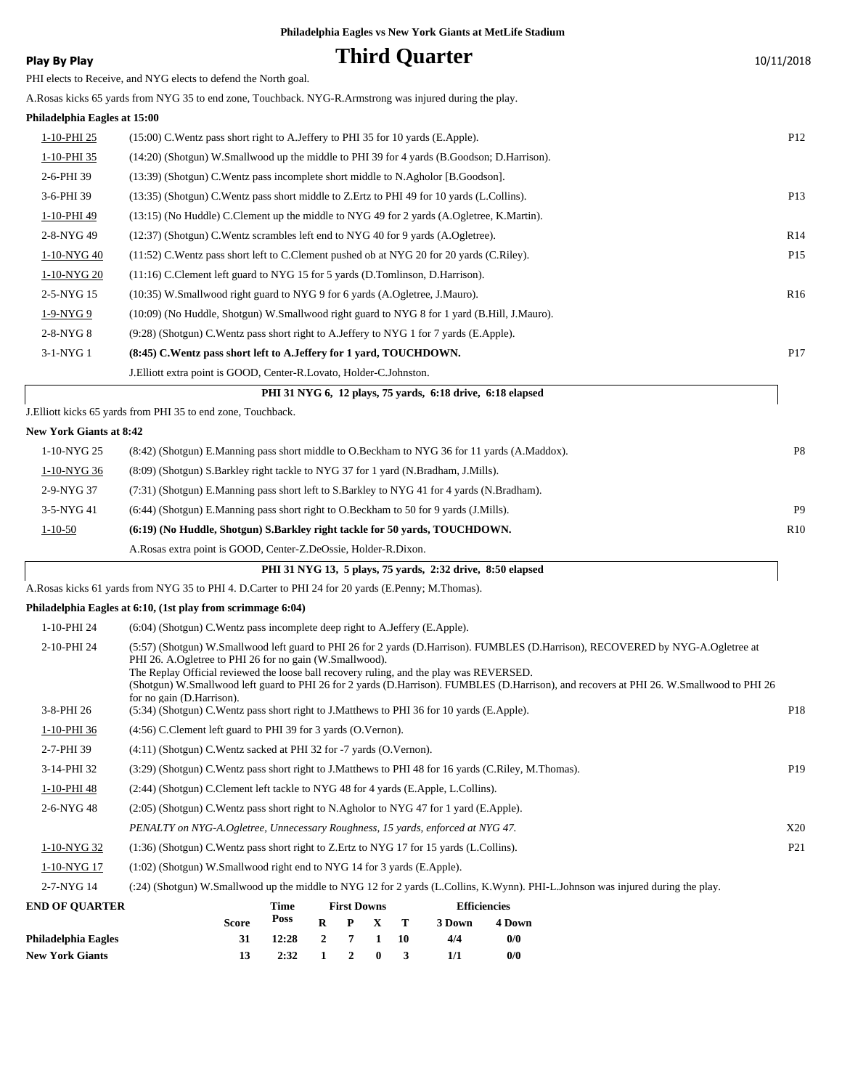| Philadelphia Eagles vs New York Giants at MetLife Stadium |  |  |
|-----------------------------------------------------------|--|--|
|-----------------------------------------------------------|--|--|

| <b>Play By Play</b>            | <b>Third Quarter</b>                                                                                                                                                                                                                                                                                                                                                                                                                                             | 10/11/2018      |
|--------------------------------|------------------------------------------------------------------------------------------------------------------------------------------------------------------------------------------------------------------------------------------------------------------------------------------------------------------------------------------------------------------------------------------------------------------------------------------------------------------|-----------------|
|                                | PHI elects to Receive, and NYG elects to defend the North goal.                                                                                                                                                                                                                                                                                                                                                                                                  |                 |
|                                | A.Rosas kicks 65 yards from NYG 35 to end zone, Touchback. NYG-R.Armstrong was injured during the play.                                                                                                                                                                                                                                                                                                                                                          |                 |
| Philadelphia Eagles at 15:00   |                                                                                                                                                                                                                                                                                                                                                                                                                                                                  |                 |
| <u>1-10-PHI 25</u>             | $(15:00)$ C. Wentz pass short right to A. Jeffery to PHI 35 for 10 yards (E. Apple).                                                                                                                                                                                                                                                                                                                                                                             | P <sub>12</sub> |
| 1-10-PHI 35                    | (14:20) (Shotgun) W.Smallwood up the middle to PHI 39 for 4 yards (B.Goodson; D.Harrison).                                                                                                                                                                                                                                                                                                                                                                       |                 |
| 2-6-PHI 39                     | (13:39) (Shotgun) C. Wentz pass incomplete short middle to N. Agholor [B. Goodson].                                                                                                                                                                                                                                                                                                                                                                              |                 |
| 3-6-PHI 39                     | (13:35) (Shotgun) C. Wentz pass short middle to Z. Ertz to PHI 49 for 10 yards (L. Collins).                                                                                                                                                                                                                                                                                                                                                                     | P <sub>13</sub> |
| 1-10-PHI 49                    | (13:15) (No Huddle) C.Clement up the middle to NYG 49 for 2 yards (A.Ogletree, K.Martin).                                                                                                                                                                                                                                                                                                                                                                        |                 |
| 2-8-NYG 49                     | (12:37) (Shotgun) C.Wentz scrambles left end to NYG 40 for 9 yards (A.Ogletree).                                                                                                                                                                                                                                                                                                                                                                                 | R14             |
| 1-10-NYG 40                    | (11:52) C. Wentz pass short left to C. Clement pushed ob at NYG 20 for 20 yards (C. Riley).                                                                                                                                                                                                                                                                                                                                                                      | P <sub>15</sub> |
| 1-10-NYG 20                    | (11:16) C.Clement left guard to NYG 15 for 5 yards (D.Tomlinson, D.Harrison).                                                                                                                                                                                                                                                                                                                                                                                    |                 |
| 2-5-NYG 15                     | (10:35) W.Smallwood right guard to NYG 9 for 6 yards (A.Ogletree, J.Mauro).                                                                                                                                                                                                                                                                                                                                                                                      | R <sub>16</sub> |
| 1-9-NYG 9                      | (10:09) (No Huddle, Shotgun) W.Smallwood right guard to NYG 8 for 1 yard (B.Hill, J.Mauro).                                                                                                                                                                                                                                                                                                                                                                      |                 |
| 2-8-NYG 8                      | (9:28) (Shotgun) C.Wentz pass short right to A.Jeffery to NYG 1 for 7 yards (E.Apple).                                                                                                                                                                                                                                                                                                                                                                           |                 |
| 3-1-NYG 1                      | (8:45) C. Wentz pass short left to A. Jeffery for 1 yard, TOUCHDOWN.                                                                                                                                                                                                                                                                                                                                                                                             | P <sub>17</sub> |
|                                | J.Elliott extra point is GOOD, Center-R.Lovato, Holder-C.Johnston.                                                                                                                                                                                                                                                                                                                                                                                               |                 |
|                                | PHI 31 NYG 6, 12 plays, 75 yards, 6:18 drive, 6:18 elapsed                                                                                                                                                                                                                                                                                                                                                                                                       |                 |
|                                | J.Elliott kicks 65 yards from PHI 35 to end zone, Touchback.                                                                                                                                                                                                                                                                                                                                                                                                     |                 |
| <b>New York Giants at 8:42</b> |                                                                                                                                                                                                                                                                                                                                                                                                                                                                  |                 |
| 1-10-NYG 25                    | (8.42) (Shotgun) E.Manning pass short middle to O.Beckham to NYG 36 for 11 yards (A.Maddox).                                                                                                                                                                                                                                                                                                                                                                     | P <sub>8</sub>  |
| 1-10-NYG 36                    | (8:09) (Shotgun) S.Barkley right tackle to NYG 37 for 1 yard (N.Bradham, J.Mills).                                                                                                                                                                                                                                                                                                                                                                               |                 |
| 2-9-NYG 37                     | (7:31) (Shotgun) E.Manning pass short left to S.Barkley to NYG 41 for 4 yards (N.Bradham).                                                                                                                                                                                                                                                                                                                                                                       |                 |
| 3-5-NYG 41                     | (6:44) (Shotgun) E.Manning pass short right to O.Beckham to 50 for 9 yards (J.Mills).                                                                                                                                                                                                                                                                                                                                                                            | P <sub>9</sub>  |
| $1 - 10 - 50$                  | (6:19) (No Huddle, Shotgun) S.Barkley right tackle for 50 yards, TOUCHDOWN.                                                                                                                                                                                                                                                                                                                                                                                      | R <sub>10</sub> |
|                                | A.Rosas extra point is GOOD, Center-Z.DeOssie, Holder-R.Dixon.                                                                                                                                                                                                                                                                                                                                                                                                   |                 |
|                                | PHI 31 NYG 13, 5 plays, 75 yards, 2:32 drive, 8:50 elapsed                                                                                                                                                                                                                                                                                                                                                                                                       |                 |
|                                | A.Rosas kicks 61 yards from NYG 35 to PHI 4. D.Carter to PHI 24 for 20 yards (E.Penny; M.Thomas).                                                                                                                                                                                                                                                                                                                                                                |                 |
|                                | Philadelphia Eagles at 6:10, (1st play from scrimmage 6:04)                                                                                                                                                                                                                                                                                                                                                                                                      |                 |
| 1-10-PHI 24                    | $(6:04)$ (Shotgun) C. Wentz pass incomplete deep right to A. Jeffery (E. Apple).                                                                                                                                                                                                                                                                                                                                                                                 |                 |
| 2-10-PHI 24                    | (5:57) (Shotgun) W.Smallwood left guard to PHI 26 for 2 yards (D.Harrison). FUMBLES (D.Harrison), RECOVERED by NYG-A.Ogletree at<br>PHI 26. A.Ogletree to PHI 26 for no gain (W.Smallwood).<br>The Replay Official reviewed the loose ball recovery ruling, and the play was REVERSED.<br>(Shotgun) W.Smallwood left guard to PHI 26 for 2 yards (D.Harrison). FUMBLES (D.Harrison), and recovers at PHI 26. W.Smallwood to PHI 26<br>for no gain (D. Harrison). |                 |
| 3-8-PHI 26                     | (5:34) (Shotgun) C. Wentz pass short right to J. Matthews to PHI 36 for 10 yards (E. Apple).                                                                                                                                                                                                                                                                                                                                                                     | P18             |
| 1-10-PHI 36                    | (4:56) C.Clement left guard to PHI 39 for 3 yards (O.Vernon).                                                                                                                                                                                                                                                                                                                                                                                                    |                 |
| 2-7-PHI 39                     | $(4:11)$ (Shotgun) C. Wentz sacked at PHI 32 for -7 yards (O. Vernon).                                                                                                                                                                                                                                                                                                                                                                                           |                 |
| 3-14-PHI 32                    | (3:29) (Shotgun) C.Wentz pass short right to J.Matthews to PHI 48 for 16 yards (C.Riley, M.Thomas).                                                                                                                                                                                                                                                                                                                                                              | P <sub>19</sub> |
| 1-10-PHI 48                    | (2.44) (Shotgun) C.Clement left tackle to NYG 48 for 4 yards (E.Apple, L.Collins).                                                                                                                                                                                                                                                                                                                                                                               |                 |
| 2-6-NYG 48                     | (2.05) (Shotgun) C. Wentz pass short right to N. Agholor to NYG 47 for 1 yard (E. Apple).                                                                                                                                                                                                                                                                                                                                                                        |                 |
|                                | PENALTY on NYG-A.Ogletree, Unnecessary Roughness, 15 yards, enforced at NYG 47.                                                                                                                                                                                                                                                                                                                                                                                  | X20             |
| 1-10-NYG 32                    | $(1:36)$ (Shotgun) C. Wentz pass short right to Z. Ertz to NYG 17 for 15 yards (L. Collins).                                                                                                                                                                                                                                                                                                                                                                     | P <sub>21</sub> |
| 1-10-NYG 17                    | (1:02) (Shotgun) W.Smallwood right end to NYG 14 for 3 yards (E.Apple).                                                                                                                                                                                                                                                                                                                                                                                          |                 |
| 2-7-NYG 14                     | (:24) (Shotgun) W.Smallwood up the middle to NYG 12 for 2 yards (L.Collins, K.Wynn). PHI-L.Johnson was injured during the play.                                                                                                                                                                                                                                                                                                                                  |                 |
| <b>END OF QUARTER</b>          | <b>Time</b><br><b>First Downs</b><br><b>Efficiencies</b><br>Poss<br>$\mathbf R$<br>P<br>$\mathbf X$<br><b>Score</b><br>т<br>3 Down<br>4 Down                                                                                                                                                                                                                                                                                                                     |                 |

| LIV VE VVANTEN      |       | .                                      | тим ромня       | винспект |        |       |  |
|---------------------|-------|----------------------------------------|-----------------|----------|--------|-------|--|
|                     | Score | Poss                                   | $R$ $P$ $X$ $T$ |          | 3 Down | 4 Dow |  |
| Philadelphia Eagles |       | $12:28$ 2 7 1 10                       |                 |          | 4/4    | 0/0   |  |
| New York Giants     |       | $2:32 \quad 1 \quad 2 \quad 0 \quad 3$ |                 |          |        | 0/0   |  |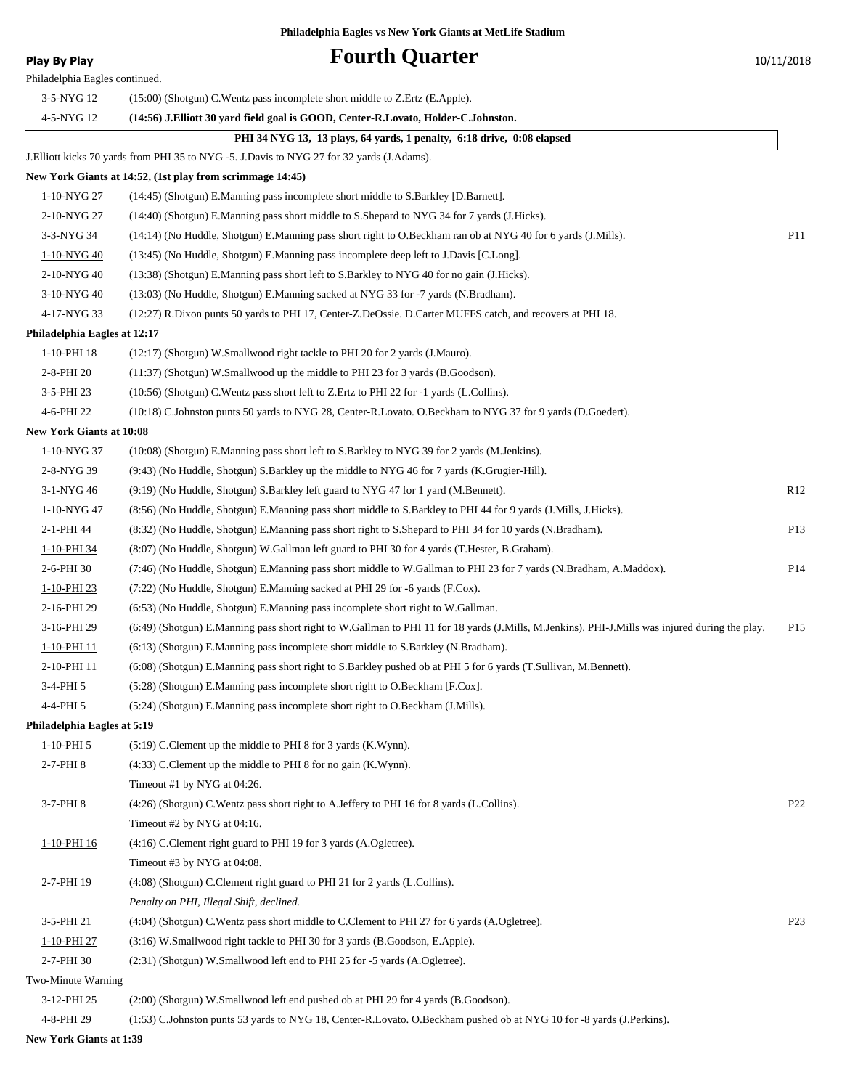**Play By Play Play Play Play Play Play Play Play Play Play Play Play Play Play Play Play Play Play Play Play Play Play Play Play Play Play Play Play Play Play Pla** 

| Philadelphia Eagles continued.  |                                                                                                                                                |                 |
|---------------------------------|------------------------------------------------------------------------------------------------------------------------------------------------|-----------------|
| 3-5-NYG 12                      | $(15:00)$ (Shotgun) C. Wentz pass incomplete short middle to Z. Ertz (E. Apple).                                                               |                 |
| 4-5-NYG 12                      | (14:56) J.Elliott 30 yard field goal is GOOD, Center-R.Lovato, Holder-C.Johnston.                                                              |                 |
|                                 | PHI 34 NYG 13, 13 plays, 64 yards, 1 penalty, 6:18 drive, 0:08 elapsed                                                                         |                 |
|                                 | J. Elliott kicks 70 yards from PHI 35 to NYG -5. J. Davis to NYG 27 for 32 yards (J. Adams).                                                   |                 |
|                                 | New York Giants at 14:52, (1st play from scrimmage 14:45)                                                                                      |                 |
| 1-10-NYG 27                     | (14:45) (Shotgun) E.Manning pass incomplete short middle to S.Barkley [D.Barnett].                                                             |                 |
| 2-10-NYG 27                     | (14:40) (Shotgun) E.Manning pass short middle to S.Shepard to NYG 34 for 7 yards (J.Hicks).                                                    |                 |
| 3-3-NYG 34                      | (14:14) (No Huddle, Shotgun) E.Manning pass short right to O.Beckham ran ob at NYG 40 for 6 yards (J.Mills).                                   | P11             |
| <u>1-10-NYG 40</u>              | (13:45) (No Huddle, Shotgun) E.Manning pass incomplete deep left to J.Davis [C.Long].                                                          |                 |
| 2-10-NYG 40                     | (13:38) (Shotgun) E.Manning pass short left to S.Barkley to NYG 40 for no gain (J.Hicks).                                                      |                 |
| 3-10-NYG 40                     | (13:03) (No Huddle, Shotgun) E.Manning sacked at NYG 33 for -7 yards (N.Bradham).                                                              |                 |
| 4-17-NYG 33                     | (12:27) R.Dixon punts 50 yards to PHI 17, Center-Z.DeOssie. D.Carter MUFFS catch, and recovers at PHI 18.                                      |                 |
| Philadelphia Eagles at 12:17    |                                                                                                                                                |                 |
| 1-10-PHI 18                     | (12:17) (Shotgun) W.Smallwood right tackle to PHI 20 for 2 yards (J.Mauro).                                                                    |                 |
| 2-8-PHI 20                      | (11:37) (Shotgun) W.Smallwood up the middle to PHI 23 for 3 yards (B.Goodson).                                                                 |                 |
| 3-5-PHI 23                      | (10:56) (Shotgun) C.Wentz pass short left to Z.Ertz to PHI 22 for -1 yards (L.Collins).                                                        |                 |
| 4-6-PHI 22                      | (10:18) C.Johnston punts 50 yards to NYG 28, Center-R.Lovato. O.Beckham to NYG 37 for 9 yards (D.Goedert).                                     |                 |
| <b>New York Giants at 10:08</b> |                                                                                                                                                |                 |
| 1-10-NYG 37                     | (10:08) (Shotgun) E.Manning pass short left to S.Barkley to NYG 39 for 2 yards (M.Jenkins).                                                    |                 |
| 2-8-NYG 39                      | (9:43) (No Huddle, Shotgun) S.Barkley up the middle to NYG 46 for 7 yards (K.Grugier-Hill).                                                    |                 |
| 3-1-NYG 46                      | (9:19) (No Huddle, Shotgun) S.Barkley left guard to NYG 47 for 1 yard (M.Bennett).                                                             | R12             |
| 1-10-NYG 47                     | (8:56) (No Huddle, Shotgun) E.Manning pass short middle to S.Barkley to PHI 44 for 9 yards (J.Mills, J.Hicks).                                 |                 |
| 2-1-PHI 44                      | (8:32) (No Huddle, Shotgun) E.Manning pass short right to S.Shepard to PHI 34 for 10 yards (N.Bradham).                                        | P13             |
| 1-10-PHI 34                     | (8:07) (No Huddle, Shotgun) W.Gallman left guard to PHI 30 for 4 yards (T.Hester, B.Graham).                                                   |                 |
| 2-6-PHI 30                      | (7:46) (No Huddle, Shotgun) E.Manning pass short middle to W.Gallman to PHI 23 for 7 yards (N.Bradham, A.Maddox).                              | P <sub>14</sub> |
| 1-10-PHI 23                     | (7:22) (No Huddle, Shotgun) E.Manning sacked at PHI 29 for -6 yards (F.Cox).                                                                   |                 |
| 2-16-PHI 29                     | (6:53) (No Huddle, Shotgun) E.Manning pass incomplete short right to W.Gallman.                                                                |                 |
| 3-16-PHI 29                     | (6:49) (Shotgun) E.Manning pass short right to W.Gallman to PHI 11 for 18 yards (J.Mills, M.Jenkins). PHI-J.Mills was injured during the play. | P <sub>15</sub> |
| 1-10-PHI 11                     | (6.13) (Shotgun) E.Manning pass incomplete short middle to S.Barkley (N.Bradham).                                                              |                 |
| 2-10-PHI 11                     | (6:08) (Shotgun) E.Manning pass short right to S.Barkley pushed ob at PHI 5 for 6 yards (T.Sullivan, M.Bennett).                               |                 |
| 3-4-PHI 5                       | $(5:28)$ (Shotgun) E.Manning pass incomplete short right to O.Beckham [F.Cox].                                                                 |                 |
| 4-4-PHI 5                       | (5:24) (Shotgun) E.Manning pass incomplete short right to O.Beckham (J.Mills).                                                                 |                 |
| Philadelphia Eagles at 5:19     |                                                                                                                                                |                 |
| $1-10-PHI5$                     | (5:19) C.Clement up the middle to PHI 8 for 3 yards (K.Wynn).                                                                                  |                 |
| 2-7-PHI 8                       | (4:33) C.Clement up the middle to PHI 8 for no gain (K.Wynn).                                                                                  |                 |
| 3-7-PHI 8                       | Timeout #1 by NYG at 04:26.                                                                                                                    |                 |
|                                 | (4:26) (Shotgun) C.Wentz pass short right to A.Jeffery to PHI 16 for 8 yards (L.Collins).                                                      | P <sub>22</sub> |
|                                 | Timeout #2 by NYG at 04:16.                                                                                                                    |                 |
| 1-10-PHI 16                     | (4:16) C.Clement right guard to PHI 19 for 3 yards (A.Ogletree).<br>Timeout #3 by NYG at 04:08.                                                |                 |
| 2-7-PHI 19                      | (4:08) (Shotgun) C.Clement right guard to PHI 21 for 2 yards (L.Collins).                                                                      |                 |
|                                 | Penalty on PHI, Illegal Shift, declined.                                                                                                       |                 |
| 3-5-PHI 21                      | (4:04) (Shotgun) C. Wentz pass short middle to C. Clement to PHI 27 for 6 yards (A. Ogletree).                                                 | P <sub>23</sub> |
| 1-10-PHI 27                     | (3:16) W.Smallwood right tackle to PHI 30 for 3 yards (B.Goodson, E.Apple).                                                                    |                 |
| 2-7-PHI 30                      | (2:31) (Shotgun) W.Smallwood left end to PHI 25 for -5 yards (A.Ogletree).                                                                     |                 |
| Two-Minute Warning              |                                                                                                                                                |                 |
| 3-12-PHI 25                     | (2:00) (Shotgun) W.Smallwood left end pushed ob at PHI 29 for 4 yards (B.Goodson).                                                             |                 |
| 4-8-PHI 29                      | (1:53) C.Johnston punts 53 yards to NYG 18, Center-R.Lovato. O.Beckham pushed ob at NYG 10 for -8 yards (J.Perkins).                           |                 |
|                                 |                                                                                                                                                |                 |

**New York Giants at 1:39**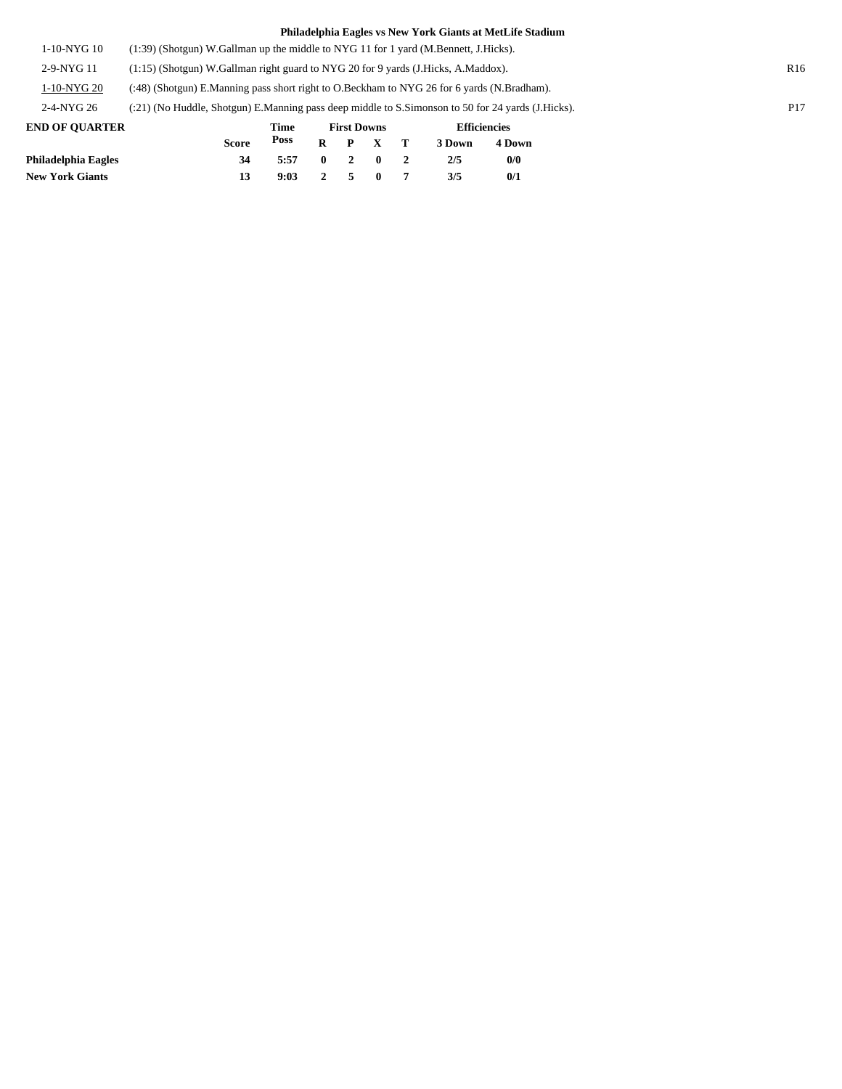| <b>IND OR OULDER</b> | $\blacksquare$<br>$\mathbf{E}$ and $\mathbf{E}$<br><b>PERSONAL PROPERTY</b>                       |                 |
|----------------------|---------------------------------------------------------------------------------------------------|-----------------|
| 2-4-NYG 26           | (:21) (No Huddle, Shotgun) E.Manning pass deep middle to S.Simonson to 50 for 24 yards (J.Hicks). | P <sub>17</sub> |
| 1-10-NYG 20          | (:48) (Shotgun) E.Manning pass short right to O.Beckham to NYG 26 for 6 yards (N.Bradham).        |                 |
| $2-9-NYG$ 11         | (1:15) (Shotgun) W.Gallman right guard to NYG 20 for 9 yards (J.Hicks, A.Maddox).                 | R <sub>16</sub> |
| 1-10-NYG 10          | $(1:39)$ (Shotgun) W.Gallman up the middle to NYG 11 for 1 yard (M.Bennett, J.Hicks).             |                 |

| <b>END OF OUARTER</b>  |              | Time |              |             |                 | <b>Efficiencies</b> |        |  |
|------------------------|--------------|------|--------------|-------------|-----------------|---------------------|--------|--|
|                        | <b>Score</b> | Poss |              |             | $R$ $P$ $X$ $T$ | 3 Down              | 4 Down |  |
| Philadelphia Eagles    | 34           | 5:57 | $\mathbf{0}$ | $2 \quad 0$ |                 | 2/5                 | 0/0    |  |
| <b>New York Giants</b> |              | 9:03 |              | 2 5         | $\mathbf{0}$    | 3/5                 | 0/1    |  |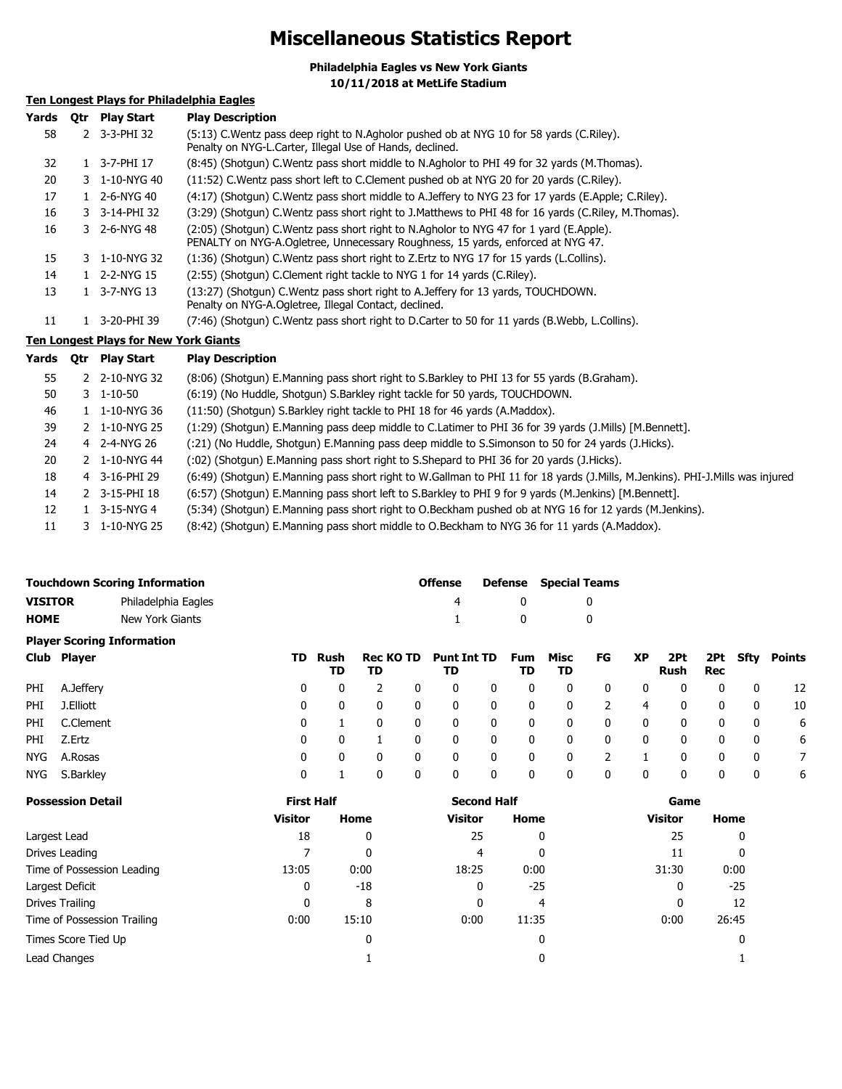### **Miscellaneous Statistics Report**

**Philadelphia Eagles vs New York Giants 10/11/2018 at MetLife Stadium**

### **Ten Longest Plays for Philadelphia Eagles**

| Yards     | 0tr | <b>Play Start</b>                            | <b>Play Description</b>                                                                                                                                                   |
|-----------|-----|----------------------------------------------|---------------------------------------------------------------------------------------------------------------------------------------------------------------------------|
| 58        |     | 2 3-3-PHI 32                                 | (5:13) C. Wentz pass deep right to N. Agholor pushed ob at NYG 10 for 58 yards (C. Riley).<br>Penalty on NYG-L.Carter, Illegal Use of Hands, declined.                    |
| 32        |     | 1 3-7-PHI 17                                 | (8:45) (Shotgun) C.Wentz pass short middle to N.Agholor to PHI 49 for 32 yards (M.Thomas).                                                                                |
| 20        |     | 3 1-10-NYG 40                                | (11:52) C. Wentz pass short left to C. Clement pushed ob at NYG 20 for 20 yards (C. Riley).                                                                               |
| 17        |     | 1 2-6-NYG 40                                 | (4:17) (Shotgun) C.Wentz pass short middle to A.Jeffery to NYG 23 for 17 yards (E.Apple; C.Riley).                                                                        |
| 16        |     | 3 3-14-PHI 32                                | (3:29) (Shotgun) C.Wentz pass short right to J.Matthews to PHI 48 for 16 yards (C.Riley, M.Thomas).                                                                       |
| 16        |     | 3 2-6-NYG 48                                 | (2:05) (Shotgun) C.Wentz pass short right to N.Agholor to NYG 47 for 1 yard (E.Apple).<br>PENALTY on NYG-A.Ogletree, Unnecessary Roughness, 15 yards, enforced at NYG 47. |
| 15        |     | 3 1-10-NYG 32                                | (1:36) (Shotgun) C. Wentz pass short right to Z. Ertz to NYG 17 for 15 yards (L. Collins).                                                                                |
| 14        |     | 1 2-2-NYG 15                                 | (2:55) (Shotgun) C.Clement right tackle to NYG 1 for 14 yards (C.Riley).                                                                                                  |
| 13        |     | 1 3-7-NYG 13                                 | (13:27) (Shotqun) C. Wentz pass short right to A. Jeffery for 13 yards, TOUCHDOWN.<br>Penalty on NYG-A.Ogletree, Illegal Contact, declined.                               |
| 11        |     | 1 3-20-PHI 39                                | (7:46) (Shotgun) C.Wentz pass short right to D.Carter to 50 for 11 yards (B.Webb, L.Collins).                                                                             |
|           |     | <u>Ten Longest Plays for New York Giants</u> |                                                                                                                                                                           |
| Yards Otr |     | Play Start                                   | <b>Play Description</b>                                                                                                                                                   |
| 55        |     | 2 2-10-NYG 32                                | (8:06) (Shotgun) E.Manning pass short right to S.Barkley to PHI 13 for 55 yards (B.Graham).                                                                               |
| 50        |     | $3 \quad 1 - 10 - 50$                        | (6:19) (No Huddle, Shotgun) S.Barkley right tackle for 50 yards, TOUCHDOWN.                                                                                               |
| 46        |     | 1 1-10-NYG 36                                | (11:50) (Shotgun) S.Barkley right tackle to PHI 18 for 46 yards (A.Maddox).                                                                                               |
|           |     |                                              |                                                                                                                                                                           |

|  | 39 2 1-10-NYG 25 (1:29) (Shotgun) E.Manning pass deep middle to C.Latimer to PHI 36 for 39 yards (J.Mills) [M.Bennett]. |
|--|-------------------------------------------------------------------------------------------------------------------------|
|  |                                                                                                                         |

24 4 2-4-NYG 26 (:21) (No Huddle, Shotgun) E.Manning pass deep middle to S.Simonson to 50 for 24 yards (J.Hicks).

- 20 2 1-10-NYG 44 (:02) (Shotgun) E.Manning pass short right to S.Shepard to PHI 36 for 20 yards (J.Hicks). 18 4 3-16-PHI 29
- 3-16-PHI 29 (6:49) (Shotgun) E.Manning pass short right to W.Gallman to PHI 11 for 18 yards (J.Mills, M.Jenkins). PHI-J.Mills was injured
- 3-15-PHI 18 (6:57) (Shotgun) E.Manning pass short left to S.Barkley to PHI 9 for 9 yards (M.Jenkins) [M.Bennett]. 14 2 3-15-PHI 18
- 12 1 3-15-NYG 4 (5:34) (Shotgun) E.Manning pass short right to O.Beckham pushed ob at NYG 16 for 12 yards (M.Jenkins).
- 11 3 1-10-NYG 25 (8:42) (Shotgun) E.Manning pass short middle to O.Beckham to NYG 36 for 11 yards (A.Maddox).

| <b>Touchdown Scoring Information</b>  |             |                                   |     |              |                        |              | <b>Offense</b>           |              | Defense          | <b>Special Teams</b> |              |              |             |                   |              |               |
|---------------------------------------|-------------|-----------------------------------|-----|--------------|------------------------|--------------|--------------------------|--------------|------------------|----------------------|--------------|--------------|-------------|-------------------|--------------|---------------|
| <b>VISITOR</b><br>Philadelphia Eagles |             |                                   |     |              |                        | 4            |                          | 0            |                  | 0                    |              |              |             |                   |              |               |
| <b>HOME</b>                           |             | New York Giants                   |     |              |                        |              |                          |              | 0                | 0                    |              |              |             |                   |              |               |
|                                       |             | <b>Player Scoring Information</b> |     |              |                        |              |                          |              |                  |                      |              |              |             |                   |              |               |
|                                       | Club Player |                                   | TD. | Rush<br>TD   | <b>Rec KO TD</b><br>TD |              | <b>Punt Int TD</b><br>TD |              | <b>Fum</b><br>TD | Misc<br>TD           | FG           | <b>XP</b>    | 2Pt<br>Rush | 2Pt<br><b>Rec</b> | Sfty         | <b>Points</b> |
| PHI                                   | A.Jeffery   |                                   | 0   | 0            |                        | 0            | 0                        | 0            | 0                | 0                    | 0            | 0            | 0           | 0                 | 0            | 12            |
| PHI                                   | J.Elliott   |                                   | 0   | $\mathbf{0}$ | 0                      | $\mathbf{0}$ | $\mathbf{0}$             | $\mathbf{0}$ | 0                | 0                    | 2            | 4            | 0           | 0                 | $\mathbf{0}$ | 10            |
| PHI                                   | C.Clement   |                                   | 0   |              | 0                      | $\mathbf{0}$ | $\mathbf{0}$             | $\Omega$     | 0                | 0                    | 0            | 0            | 0           | 0                 | 0            | 6             |
| PHI                                   | Z.Ertz      |                                   | 0   | $\mathbf{0}$ |                        | $\mathbf{0}$ | $\mathbf{0}$             | $\mathbf{0}$ | 0                | 0                    | $\mathbf{0}$ | $\mathbf{0}$ | 0           | 0                 | $\mathbf{0}$ | 6             |
| NYG.                                  | A.Rosas     |                                   | 0   | 0            | $\mathbf{0}$           | 0            | $\mathbf{0}$             | $\mathbf{0}$ | 0                | 0                    | 2            |              | 0           | 0                 | $\mathbf{0}$ |               |
| NYG.                                  | S.Barkley   |                                   | 0   |              | 0                      | 0            | 0                        | 0            | 0                | 0                    | 0            | 0            | 0           | 0                 | 0            | 6             |

| <b>Possession Detail</b>    | <b>First Half</b> |       | <b>Second Half</b> |       | Game           |       |  |
|-----------------------------|-------------------|-------|--------------------|-------|----------------|-------|--|
|                             | <b>Visitor</b>    | Home  | <b>Visitor</b>     | Home  | <b>Visitor</b> | Home  |  |
| Largest Lead                | 18                | 0     | 25                 | 0     | 25             | 0     |  |
| Drives Leading              |                   | 0     | 4                  | 0     | 11             | 0     |  |
| Time of Possession Leading  | 13:05             | 0:00  | 18:25              | 0:00  | 31:30          | 0:00  |  |
| Largest Deficit             | 0                 | $-18$ | 0                  | $-25$ |                | -25   |  |
| Drives Trailing             | 0                 | 8     | 0                  | 4     |                | 12    |  |
| Time of Possession Trailing | 0:00              | 15:10 | 0:00               | 11:35 | 0:00           | 26:45 |  |
| Times Score Tied Up         |                   | 0     |                    | 0     |                | 0     |  |
| Lead Changes                |                   |       |                    |       |                |       |  |